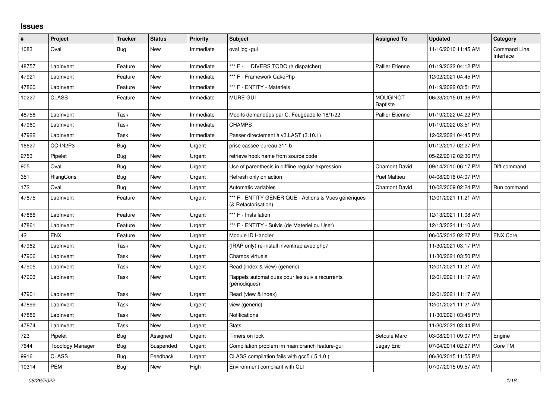## **Issues**

| #     | Project                 | <b>Tracker</b> | <b>Status</b> | <b>Priority</b> | <b>Subject</b>                                                              | <b>Assigned To</b>                 | <b>Updated</b>      | Category                         |
|-------|-------------------------|----------------|---------------|-----------------|-----------------------------------------------------------------------------|------------------------------------|---------------------|----------------------------------|
| 1083  | Oval                    | Bug            | <b>New</b>    | Immediate       | oval log -gui                                                               |                                    | 11/16/2010 11:45 AM | <b>Command Line</b><br>Interface |
| 48757 | LabInvent               | Feature        | New           | Immediate       | *** F - DIVERS TODO (à dispatcher)                                          | <b>Pallier Etienne</b>             | 01/19/2022 04:12 PM |                                  |
| 47921 | LabInvent               | Feature        | <b>New</b>    | Immediate       | *** F - Framework CakePhp                                                   |                                    | 12/02/2021 04:45 PM |                                  |
| 47860 | Lablnvent               | Feature        | New           | Immediate       | *** F - ENTITY - Materiels                                                  |                                    | 01/19/2022 03:51 PM |                                  |
| 10227 | <b>CLASS</b>            | Feature        | <b>New</b>    | Immediate       | <b>MURE GUI</b>                                                             | <b>MOUGINOT</b><br><b>Baptiste</b> | 06/23/2015 01:36 PM |                                  |
| 48758 | LabInvent               | Task           | <b>New</b>    | Immediate       | Modifs demandées par C. Feugeade le 18/1/22                                 | <b>Pallier Etienne</b>             | 01/19/2022 04:22 PM |                                  |
| 47960 | LabInvent               | Task           | New           | Immediate       | <b>CHAMPS</b>                                                               |                                    | 01/19/2022 03:51 PM |                                  |
| 47922 | LabInvent               | Task           | <b>New</b>    | Immediate       | Passer directement à v3.LAST (3.10.1)                                       |                                    | 12/02/2021 04:45 PM |                                  |
| 16627 | CC-IN2P3                | <b>Bug</b>     | <b>New</b>    | Urgent          | prise cassée bureau 311 b                                                   |                                    | 01/12/2017 02:27 PM |                                  |
| 2753  | Pipelet                 | Bug            | New           | Urgent          | retrieve hook name from source code                                         |                                    | 05/22/2012 02:36 PM |                                  |
| 905   | Oval                    | <b>Bug</b>     | <b>New</b>    | Urgent          | Use of parenthesis in diffline regular expression                           | <b>Chamont David</b>               | 09/14/2010 06:17 PM | Diff command                     |
| 351   | RIsngCons               | Bug            | New           | Urgent          | Refresh only on action                                                      | <b>Puel Mattieu</b>                | 04/08/2016 04:07 PM |                                  |
| 172   | Oval                    | Bug            | New           | Urgent          | Automatic variables                                                         | <b>Chamont David</b>               | 10/02/2009 02:24 PM | Run command                      |
| 47875 | LabInvent               | Feature        | <b>New</b>    | Urgent          | *** F - ENTITY GÉNÉRIQUE - Actions & Vues génériques<br>(& Refactorisation) |                                    | 12/01/2021 11:21 AM |                                  |
| 47866 | LabInvent               | Feature        | <b>New</b>    | Urgent          | *** F - Installation                                                        |                                    | 12/13/2021 11:08 AM |                                  |
| 47861 | LabInvent               | Feature        | <b>New</b>    | Urgent          | *** F - ENTITY - Suivis (de Materiel ou User)                               |                                    | 12/13/2021 11:10 AM |                                  |
| 42    | <b>ENX</b>              | Feature        | <b>New</b>    | Urgent          | Module ID Handler                                                           |                                    | 06/05/2013 02:27 PM | <b>ENX Core</b>                  |
| 47962 | LabInvent               | Task           | <b>New</b>    | Urgent          | (IRAP only) re-install inventirap avec php7                                 |                                    | 11/30/2021 03:17 PM |                                  |
| 47906 | LabInvent               | Task           | <b>New</b>    | Urgent          | Champs virtuels                                                             |                                    | 11/30/2021 03:50 PM |                                  |
| 47905 | LabInvent               | Task           | <b>New</b>    | Urgent          | Read (index & view) (generic)                                               |                                    | 12/01/2021 11:21 AM |                                  |
| 47903 | LabInvent               | Task           | New           | Urgent          | Rappels automatiques pour les suivis récurrents<br>(périodiques)            |                                    | 12/01/2021 11:17 AM |                                  |
| 47901 | LabInvent               | Task           | New           | Urgent          | Read (view & index)                                                         |                                    | 12/01/2021 11:17 AM |                                  |
| 47899 | LabInvent               | Task           | <b>New</b>    | Urgent          | view (generic)                                                              |                                    | 12/01/2021 11:21 AM |                                  |
| 47886 | Lablnvent               | Task           | <b>New</b>    | Urgent          | Notifications                                                               |                                    | 11/30/2021 03:45 PM |                                  |
| 47874 | LabInvent               | Task           | <b>New</b>    | Urgent          | <b>Stats</b>                                                                |                                    | 11/30/2021 03:44 PM |                                  |
| 723   | Pipelet                 | Bug            | Assigned      | Urgent          | Timers on lock                                                              | <b>Betoule Marc</b>                | 03/08/2011 09:07 PM | Engine                           |
| 7644  | <b>Topology Manager</b> | Bug            | Suspended     | Urgent          | Compilation problem im main branch feature-gui                              | Legay Eric                         | 07/04/2014 02:27 PM | Core TM                          |
| 9916  | <b>CLASS</b>            | Bug            | Feedback      | Urgent          | CLASS compilation fails with gcc5 (5.1.0)                                   |                                    | 06/30/2015 11:55 PM |                                  |
| 10314 | <b>PEM</b>              | <b>Bug</b>     | <b>New</b>    | High            | Environment compliant with CLI                                              |                                    | 07/07/2015 09:57 AM |                                  |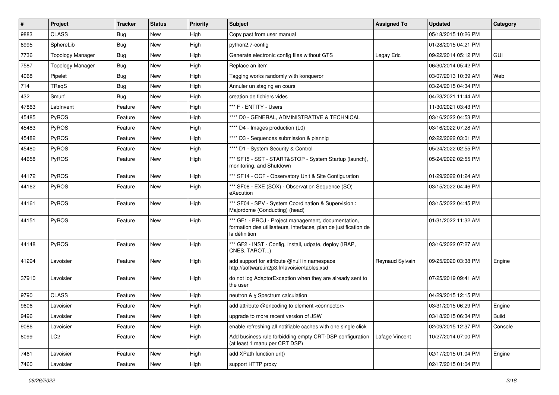| $\sharp$ | <b>Project</b>          | <b>Tracker</b> | <b>Status</b> | <b>Priority</b> | <b>Subject</b>                                                                                                                           | <b>Assigned To</b> | <b>Updated</b>      | Category   |
|----------|-------------------------|----------------|---------------|-----------------|------------------------------------------------------------------------------------------------------------------------------------------|--------------------|---------------------|------------|
| 9883     | <b>CLASS</b>            | <b>Bug</b>     | New           | High            | Copy past from user manual                                                                                                               |                    | 05/18/2015 10:26 PM |            |
| 8995     | SphereLib               | Bug            | New           | High            | python2.7-config                                                                                                                         |                    | 01/28/2015 04:21 PM |            |
| 7736     | <b>Topology Manager</b> | <b>Bug</b>     | <b>New</b>    | High            | Generate electronic config files without GTS                                                                                             | Legay Eric         | 09/22/2014 05:12 PM | <b>GUI</b> |
| 7587     | <b>Topology Manager</b> | Bug            | New           | High            | Replace an item                                                                                                                          |                    | 06/30/2014 05:42 PM |            |
| 4068     | Pipelet                 | Bug            | <b>New</b>    | High            | Tagging works randomly with konqueror                                                                                                    |                    | 03/07/2013 10:39 AM | Web        |
| 714      | TReqS                   | <b>Bug</b>     | New           | High            | Annuler un staging en cours                                                                                                              |                    | 03/24/2015 04:34 PM |            |
| 432      | Smurf                   | <b>Bug</b>     | <b>New</b>    | High            | creation de fichiers vides                                                                                                               |                    | 04/23/2021 11:44 AM |            |
| 47863    | LabInvent               | Feature        | <b>New</b>    | High            | *** F - ENTITY - Users                                                                                                                   |                    | 11/30/2021 03:43 PM |            |
| 45485    | <b>PyROS</b>            | Feature        | New           | High            | **** D0 - GENERAL, ADMINISTRATIVE & TECHNICAL                                                                                            |                    | 03/16/2022 04:53 PM |            |
| 45483    | PyROS                   | Feature        | <b>New</b>    | High            | **** D4 - Images production (L0)                                                                                                         |                    | 03/16/2022 07:28 AM |            |
| 45482    | PyROS                   | Feature        | New           | High            | **** D3 - Sequences submission & plannig                                                                                                 |                    | 02/22/2022 03:01 PM |            |
| 45480    | PyROS                   | Feature        | New           | High            | **** D1 - System Security & Control                                                                                                      |                    | 05/24/2022 02:55 PM |            |
| 44658    | PyROS                   | Feature        | New           | High            | *** SF15 - SST - START&STOP - System Startup (launch),<br>monitoring, and Shutdown                                                       |                    | 05/24/2022 02:55 PM |            |
| 44172    | PyROS                   | Feature        | New           | High            | *** SF14 - OCF - Observatory Unit & Site Configuration                                                                                   |                    | 01/29/2022 01:24 AM |            |
| 44162    | <b>PyROS</b>            | Feature        | New           | High            | *** SF08 - EXE (SOX) - Observation Sequence (SO)<br>eXecution                                                                            |                    | 03/15/2022 04:46 PM |            |
| 44161    | PyROS                   | Feature        | New           | High            | *** SF04 - SPV - System Coordination & Supervision :<br>Majordome (Conducting) (head)                                                    |                    | 03/15/2022 04:45 PM |            |
| 44151    | PyROS                   | Feature        | New           | High            | *** GF1 - PROJ - Project management, documentation,<br>formation des utilisateurs, interfaces, plan de justification de<br>la définition |                    | 01/31/2022 11:32 AM |            |
| 44148    | PyROS                   | Feature        | New           | High            | *** GF2 - INST - Config, Install, udpate, deploy (IRAP,<br>CNES, TAROT)                                                                  |                    | 03/16/2022 07:27 AM |            |
| 41294    | Lavoisier               | Feature        | New           | High            | add support for attribute @null in namespace<br>http://software.in2p3.fr/lavoisier/tables.xsd                                            | Reynaud Sylvain    | 09/25/2020 03:38 PM | Engine     |
| 37910    | Lavoisier               | Feature        | New           | High            | do not log AdaptorException when they are already sent to<br>the user                                                                    |                    | 07/25/2019 09:41 AM |            |
| 9790     | <b>CLASS</b>            | Feature        | New           | High            | neutron & y Spectrum calculation                                                                                                         |                    | 04/29/2015 12:15 PM |            |
| 9606     | Lavoisier               | Feature        | <b>New</b>    | High            | add attribute @encoding to element <connector></connector>                                                                               |                    | 03/31/2015 06:29 PM | Engine     |
| 9496     | Lavoisier               | Feature        | New           | High            | upgrade to more recent version of JSW                                                                                                    |                    | 03/18/2015 06:34 PM | Build      |
| 9086     | Lavoisier               | Feature        | New           | High            | enable refreshing all notifiable caches with one single click                                                                            |                    | 02/09/2015 12:37 PM | Console    |
| 8099     | LC <sub>2</sub>         | Feature        | New           | High            | Add business rule forbidding empty CRT-DSP configuration<br>(at least 1 manu per CRT DSP)                                                | Lafage Vincent     | 10/27/2014 07:00 PM |            |
| 7461     | Lavoisier               | Feature        | New           | High            | add XPath function url()                                                                                                                 |                    | 02/17/2015 01:04 PM | Engine     |
| 7460     | Lavoisier               | Feature        | New           | High            | support HTTP proxy                                                                                                                       |                    | 02/17/2015 01:04 PM |            |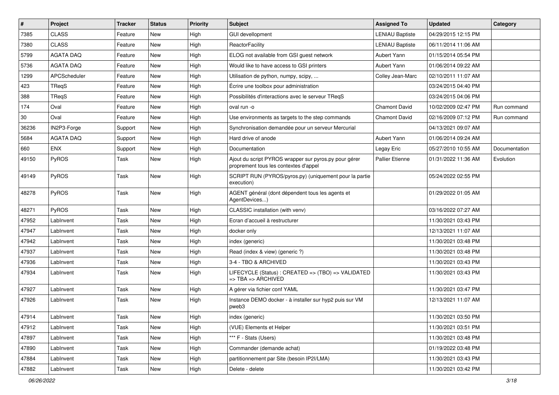| $\pmb{\#}$ | Project          | <b>Tracker</b> | <b>Status</b> | <b>Priority</b> | Subject                                                                                        | <b>Assigned To</b>     | <b>Updated</b>      | Category      |
|------------|------------------|----------------|---------------|-----------------|------------------------------------------------------------------------------------------------|------------------------|---------------------|---------------|
| 7385       | <b>CLASS</b>     | Feature        | New           | High            | <b>GUI devellopment</b>                                                                        | <b>LENIAU Baptiste</b> | 04/29/2015 12:15 PM |               |
| 7380       | <b>CLASS</b>     | Feature        | <b>New</b>    | High            | ReactorFacility                                                                                | <b>LENIAU Baptiste</b> | 06/11/2014 11:06 AM |               |
| 5799       | <b>AGATA DAQ</b> | Feature        | New           | High            | ELOG not available from GSI quest network                                                      | Aubert Yann            | 01/15/2014 05:54 PM |               |
| 5736       | <b>AGATA DAQ</b> | Feature        | New           | High            | Would like to have access to GSI printers                                                      | Aubert Yann            | 01/06/2014 09:22 AM |               |
| 1299       | APCScheduler     | Feature        | <b>New</b>    | High            | Utilisation de python, numpy, scipy,                                                           | Colley Jean-Marc       | 02/10/2011 11:07 AM |               |
| 423        | TReaS            | Feature        | New           | High            | Écrire une toolbox pour administration                                                         |                        | 03/24/2015 04:40 PM |               |
| 388        | TReqS            | Feature        | New           | High            | Possibilités d'interactions avec le serveur TReqS                                              |                        | 03/24/2015 04:06 PM |               |
| 174        | Oval             | Feature        | New           | High            | oval run -o                                                                                    | <b>Chamont David</b>   | 10/02/2009 02:47 PM | Run command   |
| 30         | Oval             | Feature        | New           | High            | Use environments as targets to the step commands                                               | <b>Chamont David</b>   | 02/16/2009 07:12 PM | Run command   |
| 36236      | IN2P3-Forge      | Support        | <b>New</b>    | High            | Synchronisation demandée pour un serveur Mercurial                                             |                        | 04/13/2021 09:07 AM |               |
| 5684       | <b>AGATA DAQ</b> | Support        | New           | High            | Hard drive of anode                                                                            | Aubert Yann            | 01/06/2014 09:24 AM |               |
| 660        | <b>ENX</b>       | Support        | New           | High            | Documentation                                                                                  | Legay Eric             | 05/27/2010 10:55 AM | Documentation |
| 49150      | PyROS            | Task           | <b>New</b>    | High            | Ajout du script PYROS wrapper sur pyros.py pour gérer<br>proprement tous les contextes d'appel | <b>Pallier Etienne</b> | 01/31/2022 11:36 AM | Evolution     |
| 49149      | PyROS            | Task           | <b>New</b>    | High            | SCRIPT RUN (PYROS/pyros.py) (uniquement pour la partie<br>execution)                           |                        | 05/24/2022 02:55 PM |               |
| 48278      | PyROS            | Task           | <b>New</b>    | High            | AGENT général (dont dépendent tous les agents et<br>AgentDevices)                              |                        | 01/29/2022 01:05 AM |               |
| 48271      | PyROS            | Task           | <b>New</b>    | High            | CLASSIC installation (with venv)                                                               |                        | 03/16/2022 07:27 AM |               |
| 47952      | LabInvent        | Task           | New           | High            | Ecran d'accueil à restructurer                                                                 |                        | 11/30/2021 03:43 PM |               |
| 47947      | LabInvent        | Task           | <b>New</b>    | High            | docker only                                                                                    |                        | 12/13/2021 11:07 AM |               |
| 47942      | LabInvent        | Task           | <b>New</b>    | High            | index (generic)                                                                                |                        | 11/30/2021 03:48 PM |               |
| 47937      | LabInvent        | Task           | <b>New</b>    | High            | Read (index & view) (generic ?)                                                                |                        | 11/30/2021 03:48 PM |               |
| 47936      | LabInvent        | Task           | New           | High            | 3-4 - TBO & ARCHIVED                                                                           |                        | 11/30/2021 03:43 PM |               |
| 47934      | LabInvent        | Task           | New           | High            | LIFECYCLE (Status) : CREATED => (TBO) => VALIDATED<br>$\Rightarrow$ TBA $\Rightarrow$ ARCHIVED |                        | 11/30/2021 03:43 PM |               |
| 47927      | LabInvent        | Task           | <b>New</b>    | High            | A gérer via fichier conf YAML                                                                  |                        | 11/30/2021 03:47 PM |               |
| 47926      | LabInvent        | Task           | New           | High            | Instance DEMO docker - à installer sur hyp2 puis sur VM<br>pweb3                               |                        | 12/13/2021 11:07 AM |               |
| 47914      | LabInvent        | Task           | New           | High            | index (generic)                                                                                |                        | 11/30/2021 03:50 PM |               |
| 47912      | LabInvent        | Task           | New           | High            | (VUE) Elements et Helper                                                                       |                        | 11/30/2021 03:51 PM |               |
| 47897      | LabInvent        | Task           | New           | High            | *** F - Stats (Users)                                                                          |                        | 11/30/2021 03:48 PM |               |
| 47890      | LabInvent        | Task           | New           | High            | Commander (demande achat)                                                                      |                        | 01/19/2022 03:48 PM |               |
| 47884      | LabInvent        | Task           | New           | High            | partitionnement par Site (besoin IP2I/LMA)                                                     |                        | 11/30/2021 03:43 PM |               |
| 47882      | LabInvent        | Task           | New           | High            | Delete - delete                                                                                |                        | 11/30/2021 03:42 PM |               |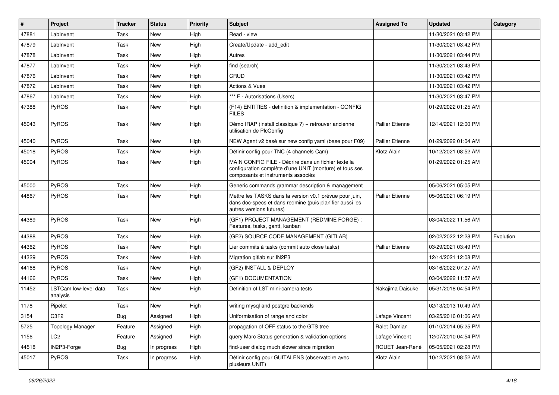| $\sharp$ | Project                           | <b>Tracker</b> | <b>Status</b> | <b>Priority</b> | <b>Subject</b>                                                                                                                                       | <b>Assigned To</b>     | <b>Updated</b>      | Category  |
|----------|-----------------------------------|----------------|---------------|-----------------|------------------------------------------------------------------------------------------------------------------------------------------------------|------------------------|---------------------|-----------|
| 47881    | LabInvent                         | Task           | New           | High            | Read - view                                                                                                                                          |                        | 11/30/2021 03:42 PM |           |
| 47879    | LabInvent                         | Task           | New           | High            | Create/Update - add edit                                                                                                                             |                        | 11/30/2021 03:42 PM |           |
| 47878    | LabInvent                         | Task           | <b>New</b>    | High            | Autres                                                                                                                                               |                        | 11/30/2021 03:44 PM |           |
| 47877    | LabInvent                         | Task           | New           | High            | find (search)                                                                                                                                        |                        | 11/30/2021 03:43 PM |           |
| 47876    | LabInvent                         | Task           | <b>New</b>    | High            | CRUD                                                                                                                                                 |                        | 11/30/2021 03:42 PM |           |
| 47872    | LabInvent                         | Task           | New           | High            | <b>Actions &amp; Vues</b>                                                                                                                            |                        | 11/30/2021 03:42 PM |           |
| 47867    | LabInvent                         | Task           | <b>New</b>    | High            | *** F - Autorisations (Users)                                                                                                                        |                        | 11/30/2021 03:47 PM |           |
| 47388    | PyROS                             | Task           | New           | High            | (F14) ENTITIES - definition & implementation - CONFIG<br><b>FILES</b>                                                                                |                        | 01/29/2022 01:25 AM |           |
| 45043    | PyROS                             | Task           | New           | High            | Démo IRAP (install classique ?) + retrouver ancienne<br>utilisation de PlcConfig                                                                     | <b>Pallier Etienne</b> | 12/14/2021 12:00 PM |           |
| 45040    | PyROS                             | Task           | New           | High            | NEW Agent v2 basé sur new config yaml (base pour F09)                                                                                                | <b>Pallier Etienne</b> | 01/29/2022 01:04 AM |           |
| 45018    | PyROS                             | Task           | <b>New</b>    | High            | Définir config pour TNC (4 channels Cam)                                                                                                             | Klotz Alain            | 10/12/2021 08:52 AM |           |
| 45004    | PyROS                             | Task           | New           | High            | MAIN CONFIG FILE - Décrire dans un fichier texte la<br>configuration complète d'une UNIT (monture) et tous ses<br>composants et instruments associés |                        | 01/29/2022 01:25 AM |           |
| 45000    | <b>PyROS</b>                      | Task           | New           | High            | Generic commands grammar description & management                                                                                                    |                        | 05/06/2021 05:05 PM |           |
| 44867    | PyROS                             | Task           | New           | High            | Mettre les TASKS dans la version v0.1 prévue pour juin,<br>dans doc-specs et dans redmine (puis planifier aussi les<br>autres versions futures)      | <b>Pallier Etienne</b> | 05/06/2021 06:19 PM |           |
| 44389    | PyROS                             | Task           | New           | High            | (GF1) PROJECT MANAGEMENT (REDMINE FORGE) :<br>Features, tasks, gantt, kanban                                                                         |                        | 03/04/2022 11:56 AM |           |
| 44388    | PyROS                             | Task           | New           | High            | (GF2) SOURCE CODE MANAGEMENT (GITLAB)                                                                                                                |                        | 02/02/2022 12:28 PM | Evolution |
| 44362    | PyROS                             | Task           | <b>New</b>    | High            | Lier commits à tasks (commit auto close tasks)                                                                                                       | Pallier Etienne        | 03/29/2021 03:49 PM |           |
| 44329    | PyROS                             | Task           | New           | High            | Migration gitlab sur IN2P3                                                                                                                           |                        | 12/14/2021 12:08 PM |           |
| 44168    | PyROS                             | Task           | <b>New</b>    | High            | (GF2) INSTALL & DEPLOY                                                                                                                               |                        | 03/16/2022 07:27 AM |           |
| 44166    | <b>PyROS</b>                      | Task           | New           | High            | (GF1) DOCUMENTATION                                                                                                                                  |                        | 03/04/2022 11:57 AM |           |
| 11452    | LSTCam low-level data<br>analysis | Task           | New           | High            | Definition of LST mini-camera tests                                                                                                                  | Nakajima Daisuke       | 05/31/2018 04:54 PM |           |
| 1178     | Pipelet                           | Task           | New           | High            | writing mysql and postgre backends                                                                                                                   |                        | 02/13/2013 10:49 AM |           |
| 3154     | C3F2                              | Bug            | Assigned      | High            | Uniformisation of range and color                                                                                                                    | Lafage Vincent         | 03/25/2016 01:06 AM |           |
| 5725     | <b>Topology Manager</b>           | Feature        | Assigned      | High            | propagation of OFF status to the GTS tree                                                                                                            | Ralet Damian           | 01/10/2014 05:25 PM |           |
| 1156     | LC <sub>2</sub>                   | Feature        | Assigned      | High            | query Marc Status generation & validation options                                                                                                    | Lafage Vincent         | 12/07/2010 04:54 PM |           |
| 44518    | IN2P3-Forge                       | <b>Bug</b>     | In progress   | High            | find-user dialog much slower since migration                                                                                                         | ROUET Jean-René        | 05/05/2021 02:28 PM |           |
| 45017    | PyROS                             | Task           | In progress   | High            | Définir config pour GUITALENS (observatoire avec<br>plusieurs UNIT)                                                                                  | Klotz Alain            | 10/12/2021 08:52 AM |           |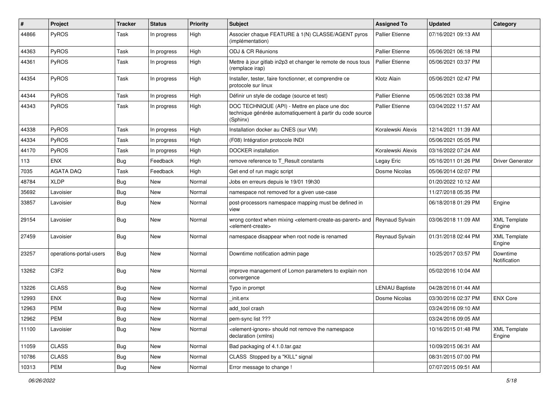| #     | Project                 | <b>Tracker</b> | <b>Status</b> | <b>Priority</b> | <b>Subject</b>                                                                                                            | <b>Assigned To</b>     | <b>Updated</b>      | Category                      |
|-------|-------------------------|----------------|---------------|-----------------|---------------------------------------------------------------------------------------------------------------------------|------------------------|---------------------|-------------------------------|
| 44866 | PyROS                   | Task           | In progress   | High            | Associer chaque FEATURE à 1(N) CLASSE/AGENT pyros<br>(implémentation)                                                     | <b>Pallier Etienne</b> | 07/16/2021 09:13 AM |                               |
| 44363 | PyROS                   | Task           | In progress   | High            | ODJ & CR Réunions                                                                                                         | <b>Pallier Etienne</b> | 05/06/2021 06:18 PM |                               |
| 44361 | PyROS                   | Task           | In progress   | High            | Mettre à jour gitlab in2p3 et changer le remote de nous tous<br>(remplace irap)                                           | <b>Pallier Etienne</b> | 05/06/2021 03:37 PM |                               |
| 44354 | PyROS                   | Task           | In progress   | High            | Installer, tester, faire fonctionner, et comprendre ce<br>protocole sur linux                                             | Klotz Alain            | 05/06/2021 02:47 PM |                               |
| 44344 | PyROS                   | Task           | In progress   | High            | Définir un style de codage (source et test)                                                                               | <b>Pallier Etienne</b> | 05/06/2021 03:38 PM |                               |
| 44343 | PyROS                   | Task           | In progress   | High            | DOC TECHNIQUE (API) - Mettre en place une doc<br>technique générée automatiquement à partir du code source<br>(Sphinx)    | <b>Pallier Etienne</b> | 03/04/2022 11:57 AM |                               |
| 44338 | PyROS                   | Task           | In progress   | High            | Installation docker au CNES (sur VM)                                                                                      | Koralewski Alexis      | 12/14/2021 11:39 AM |                               |
| 44334 | PyROS                   | Task           | In progress   | High            | (F08) Intégration protocole INDI                                                                                          |                        | 05/06/2021 05:05 PM |                               |
| 44170 | <b>PyROS</b>            | Task           | In progress   | High            | <b>DOCKER</b> installation                                                                                                | Koralewski Alexis      | 03/16/2022 07:24 AM |                               |
| 113   | <b>ENX</b>              | <b>Bug</b>     | Feedback      | High            | remove reference to T_Result constants                                                                                    | Legay Eric             | 05/16/2011 01:26 PM | <b>Driver Generator</b>       |
| 7035  | <b>AGATA DAQ</b>        | Task           | Feedback      | High            | Get end of run magic script                                                                                               | Dosme Nicolas          | 05/06/2014 02:07 PM |                               |
| 48784 | <b>XLDP</b>             | <b>Bug</b>     | New           | Normal          | Jobs en erreurs depuis le 19/01 19h30                                                                                     |                        | 01/20/2022 10:12 AM |                               |
| 35692 | Lavoisier               | <b>Bug</b>     | New           | Normal          | namespace not removed for a given use-case                                                                                |                        | 11/27/2018 05:35 PM |                               |
| 33857 | Lavoisier               | Bug            | New           | Normal          | post-processors namespace mapping must be defined in<br>view                                                              |                        | 06/18/2018 01:29 PM | Engine                        |
| 29154 | Lavoisier               | Bug            | New           | Normal          | wrong context when mixing <element-create-as-parent> and<br/><element-create></element-create></element-create-as-parent> | <b>Reynaud Sylvain</b> | 03/06/2018 11:09 AM | <b>XML Template</b><br>Engine |
| 27459 | Lavoisier               | Bug            | New           | Normal          | namespace disappear when root node is renamed                                                                             | Reynaud Sylvain        | 01/31/2018 02:44 PM | <b>XML Template</b><br>Engine |
| 23257 | operations-portal-users | <b>Bug</b>     | New           | Normal          | Downtime notification admin page                                                                                          |                        | 10/25/2017 03:57 PM | Downtime<br>Notification      |
| 13262 | C3F2                    | <b>Bug</b>     | New           | Normal          | improve management of Lomon parameters to explain non<br>convergence                                                      |                        | 05/02/2016 10:04 AM |                               |
| 13226 | <b>CLASS</b>            | <b>Bug</b>     | <b>New</b>    | Normal          | Typo in prompt                                                                                                            | <b>LENIAU Baptiste</b> | 04/28/2016 01:44 AM |                               |
| 12993 | <b>ENX</b>              | <b>Bug</b>     | New           | Normal          | init.enx                                                                                                                  | Dosme Nicolas          | 03/30/2016 02:37 PM | <b>ENX Core</b>               |
| 12963 | <b>PEM</b>              | <b>Bug</b>     | New           | Normal          | add tool crash                                                                                                            |                        | 03/24/2016 09:10 AM |                               |
| 12962 | PEM                     | <b>Bug</b>     | New           | Normal          | pem-sync list ???                                                                                                         |                        | 03/24/2016 09:05 AM |                               |
| 11100 | Lavoisier               | <b>Bug</b>     | New           | Normal          | <element-ignore> should not remove the namespace<br/>declaration (xmlns)</element-ignore>                                 |                        | 10/16/2015 01:48 PM | <b>XML Template</b><br>Engine |
| 11059 | <b>CLASS</b>            | <b>Bug</b>     | New           | Normal          | Bad packaging of 4.1.0.tar.gaz                                                                                            |                        | 10/09/2015 06:31 AM |                               |
| 10786 | <b>CLASS</b>            | <b>Bug</b>     | New           | Normal          | CLASS Stopped by a "KILL" signal                                                                                          |                        | 08/31/2015 07:00 PM |                               |
| 10313 | PEM                     | Bug            | New           | Normal          | Error message to change !                                                                                                 |                        | 07/07/2015 09:51 AM |                               |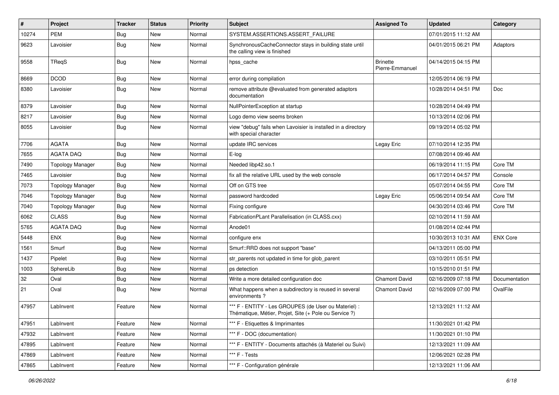| #     | Project                 | <b>Tracker</b> | <b>Status</b> | <b>Priority</b> | Subject                                                                                                        | <b>Assigned To</b>                 | <b>Updated</b>      | Category        |
|-------|-------------------------|----------------|---------------|-----------------|----------------------------------------------------------------------------------------------------------------|------------------------------------|---------------------|-----------------|
| 10274 | <b>PEM</b>              | <b>Bug</b>     | New           | Normal          | SYSTEM.ASSERTIONS.ASSERT_FAILURE                                                                               |                                    | 07/01/2015 11:12 AM |                 |
| 9623  | Lavoisier               | <b>Bug</b>     | <b>New</b>    | Normal          | SynchronousCacheConnector stays in building state until<br>the calling view is finished                        |                                    | 04/01/2015 06:21 PM | Adaptors        |
| 9558  | TReqS                   | Bug            | <b>New</b>    | Normal          | hpss_cache                                                                                                     | <b>Brinette</b><br>Pierre-Emmanuel | 04/14/2015 04:15 PM |                 |
| 8669  | <b>DCOD</b>             | <b>Bug</b>     | New           | Normal          | error during compilation                                                                                       |                                    | 12/05/2014 06:19 PM |                 |
| 8380  | Lavoisier               | <b>Bug</b>     | <b>New</b>    | Normal          | remove attribute @evaluated from generated adaptors<br>documentation                                           |                                    | 10/28/2014 04:51 PM | Doc             |
| 8379  | Lavoisier               | Bug            | New           | Normal          | NullPointerException at startup                                                                                |                                    | 10/28/2014 04:49 PM |                 |
| 8217  | Lavoisier               | Bug            | <b>New</b>    | Normal          | Logo demo view seems broken                                                                                    |                                    | 10/13/2014 02:06 PM |                 |
| 8055  | Lavoisier               | Bug            | New           | Normal          | view "debug" fails when Lavoisier is installed in a directory<br>with special character                        |                                    | 09/19/2014 05:02 PM |                 |
| 7706  | <b>AGATA</b>            | Bug            | <b>New</b>    | Normal          | update IRC services                                                                                            | Legay Eric                         | 07/10/2014 12:35 PM |                 |
| 7655  | <b>AGATA DAQ</b>        | Bug            | New           | Normal          | E-log                                                                                                          |                                    | 07/08/2014 09:46 AM |                 |
| 7490  | <b>Topology Manager</b> | Bug            | <b>New</b>    | Normal          | Needed libp42.so.1                                                                                             |                                    | 06/19/2014 11:15 PM | Core TM         |
| 7465  | Lavoisier               | Bug            | New           | Normal          | fix all the relative URL used by the web console                                                               |                                    | 06/17/2014 04:57 PM | Console         |
| 7073  | <b>Topology Manager</b> | <b>Bug</b>     | <b>New</b>    | Normal          | Off on GTS tree                                                                                                |                                    | 05/07/2014 04:55 PM | Core TM         |
| 7046  | <b>Topology Manager</b> | <b>Bug</b>     | <b>New</b>    | Normal          | password hardcoded                                                                                             | Legay Eric                         | 05/06/2014 09:54 AM | Core TM         |
| 7040  | <b>Topology Manager</b> | Bug            | <b>New</b>    | Normal          | Fixing configure                                                                                               |                                    | 04/30/2014 03:46 PM | Core TM         |
| 6062  | <b>CLASS</b>            | Bug            | <b>New</b>    | Normal          | FabricationPLant Parallelisation (in CLASS.cxx)                                                                |                                    | 02/10/2014 11:59 AM |                 |
| 5765  | <b>AGATA DAQ</b>        | Bug            | <b>New</b>    | Normal          | Anode01                                                                                                        |                                    | 01/08/2014 02:44 PM |                 |
| 5448  | <b>ENX</b>              | <b>Bug</b>     | <b>New</b>    | Normal          | configure enx                                                                                                  |                                    | 10/30/2013 10:31 AM | <b>ENX Core</b> |
| 1561  | Smurf                   | Bug            | <b>New</b>    | Normal          | Smurf::RRD does not support "base"                                                                             |                                    | 04/13/2011 05:00 PM |                 |
| 1437  | Pipelet                 | Bug            | <b>New</b>    | Normal          | str_parents not updated in time for glob_parent                                                                |                                    | 03/10/2011 05:51 PM |                 |
| 1003  | SphereLib               | Bug            | New           | Normal          | ps detection                                                                                                   |                                    | 10/15/2010 01:51 PM |                 |
| 32    | Oval                    | Bug            | <b>New</b>    | Normal          | Write a more detailed configuration doc                                                                        | <b>Chamont David</b>               | 02/16/2009 07:18 PM | Documentation   |
| 21    | Oval                    | Bug            | New           | Normal          | What happens when a subdirectory is reused in several<br>environments?                                         | <b>Chamont David</b>               | 02/16/2009 07:00 PM | OvalFile        |
| 47957 | LabInvent               | Feature        | <b>New</b>    | Normal          | *** F - ENTITY - Les GROUPES (de User ou Materiel) :<br>Thématique, Métier, Projet, Site (+ Pole ou Service ?) |                                    | 12/13/2021 11:12 AM |                 |
| 47951 | LabInvent               | Feature        | New           | Normal          | *** F - Etiquettes & Imprimantes                                                                               |                                    | 11/30/2021 01:42 PM |                 |
| 47932 | LabInvent               | Feature        | New           | Normal          | *** F - DOC (documentation)                                                                                    |                                    | 11/30/2021 01:10 PM |                 |
| 47895 | LabInvent               | Feature        | New           | Normal          | *** F - ENTITY - Documents attachés (à Materiel ou Suivi)                                                      |                                    | 12/13/2021 11:09 AM |                 |
| 47869 | LabInvent               | Feature        | New           | Normal          | *** F - Tests                                                                                                  |                                    | 12/06/2021 02:28 PM |                 |
| 47865 | LabInvent               | Feature        | New           | Normal          | *** F - Configuration générale                                                                                 |                                    | 12/13/2021 11:06 AM |                 |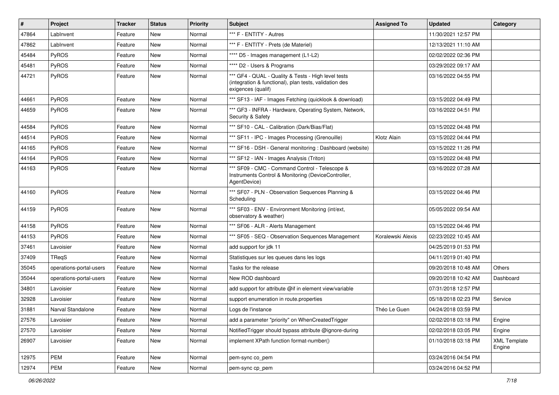| #     | <b>Project</b>          | <b>Tracker</b> | <b>Status</b> | <b>Priority</b> | <b>Subject</b>                                                                                                                      | <b>Assigned To</b> | <b>Updated</b>      | Category                      |
|-------|-------------------------|----------------|---------------|-----------------|-------------------------------------------------------------------------------------------------------------------------------------|--------------------|---------------------|-------------------------------|
| 47864 | LabInvent               | Feature        | New           | Normal          | *** F - ENTITY - Autres                                                                                                             |                    | 11/30/2021 12:57 PM |                               |
| 47862 | LabInvent               | Feature        | New           | Normal          | *** F - ENTITY - Prets (de Materiel)                                                                                                |                    | 12/13/2021 11:10 AM |                               |
| 45484 | <b>PyROS</b>            | Feature        | New           | Normal          | **** D5 - Images management (L1-L2)                                                                                                 |                    | 02/02/2022 02:36 PM |                               |
| 45481 | PyROS                   | Feature        | New           | Normal          | **** D2 - Users & Programs                                                                                                          |                    | 03/29/2022 09:17 AM |                               |
| 44721 | PyROS                   | Feature        | New           | Normal          | *** GF4 - QUAL - Quality & Tests - High level tests<br>(integration & functional), plan tests, validation des<br>exigences (qualif) |                    | 03/16/2022 04:55 PM |                               |
| 44661 | PyROS                   | Feature        | New           | Normal          | *** SF13 - IAF - Images Fetching (quicklook & download)                                                                             |                    | 03/15/2022 04:49 PM |                               |
| 44659 | PyROS                   | Feature        | New           | Normal          | *** GF3 - INFRA - Hardware, Operating System, Network,<br>Security & Safety                                                         |                    | 03/16/2022 04:51 PM |                               |
| 44584 | <b>PyROS</b>            | Feature        | New           | Normal          | *** SF10 - CAL - Calibration (Dark/Bias/Flat)                                                                                       |                    | 03/15/2022 04:48 PM |                               |
| 44514 | PyROS                   | Feature        | New           | Normal          | *** SF11 - IPC - Images Processing (Grenouille)                                                                                     | Klotz Alain        | 03/15/2022 04:44 PM |                               |
| 44165 | PyROS                   | Feature        | New           | Normal          | *** SF16 - DSH - General monitoring: Dashboard (website)                                                                            |                    | 03/15/2022 11:26 PM |                               |
| 44164 | PyROS                   | Feature        | New           | Normal          | *** SF12 - IAN - Images Analysis (Triton)                                                                                           |                    | 03/15/2022 04:48 PM |                               |
| 44163 | PyROS                   | Feature        | <b>New</b>    | Normal          | *** SF09 - CMC - Command Control - Telescope &<br>Instruments Control & Monitoring (DeviceController,<br>AgentDevice)               |                    | 03/16/2022 07:28 AM |                               |
| 44160 | PyROS                   | Feature        | New           | Normal          | *** SF07 - PLN - Observation Sequences Planning &<br>Scheduling                                                                     |                    | 03/15/2022 04:46 PM |                               |
| 44159 | PyROS                   | Feature        | New           | Normal          | *** SF03 - ENV - Environment Monitoring (int/ext,<br>observatory & weather)                                                         |                    | 05/05/2022 09:54 AM |                               |
| 44158 | <b>PyROS</b>            | Feature        | <b>New</b>    | Normal          | *** SF06 - ALR - Alerts Management                                                                                                  |                    | 03/15/2022 04:46 PM |                               |
| 44153 | PyROS                   | Feature        | New           | Normal          | *** SF05 - SEQ - Observation Sequences Management                                                                                   | Koralewski Alexis  | 02/23/2022 10:45 AM |                               |
| 37461 | Lavoisier               | Feature        | New           | Normal          | add support for jdk 11                                                                                                              |                    | 04/25/2019 01:53 PM |                               |
| 37409 | TReqS                   | Feature        | New           | Normal          | Statistiques sur les queues dans les logs                                                                                           |                    | 04/11/2019 01:40 PM |                               |
| 35045 | operations-portal-users | Feature        | <b>New</b>    | Normal          | Tasks for the release                                                                                                               |                    | 09/20/2018 10:48 AM | <b>Others</b>                 |
| 35044 | operations-portal-users | Feature        | New           | Normal          | New ROD dashboard                                                                                                                   |                    | 09/20/2018 10:42 AM | Dashboard                     |
| 34801 | Lavoisier               | Feature        | New           | Normal          | add support for attribute @if in element view/variable                                                                              |                    | 07/31/2018 12:57 PM |                               |
| 32928 | Lavoisier               | Feature        | New           | Normal          | support enumeration in route properties                                                                                             |                    | 05/18/2018 02:23 PM | Service                       |
| 31881 | Narval Standalone       | Feature        | New           | Normal          | Logs de l'instance                                                                                                                  | Théo Le Guen       | 04/24/2018 03:59 PM |                               |
| 27576 | Lavoisier               | Feature        | New           | Normal          | add a parameter "priority" on WhenCreatedTrigger                                                                                    |                    | 02/02/2018 03:18 PM | Engine                        |
| 27570 | Lavoisier               | Feature        | New           | Normal          | Notified Trigger should bypass attribute @ignore-during                                                                             |                    | 02/02/2018 03:05 PM | Engine                        |
| 26907 | Lavoisier               | Feature        | New           | Normal          | implement XPath function format-number()                                                                                            |                    | 01/10/2018 03:18 PM | <b>XML Template</b><br>Engine |
| 12975 | <b>PEM</b>              | Feature        | New           | Normal          | pem-sync co_pem                                                                                                                     |                    | 03/24/2016 04:54 PM |                               |
| 12974 | PEM                     | Feature        | New           | Normal          | pem-sync cp_pem                                                                                                                     |                    | 03/24/2016 04:52 PM |                               |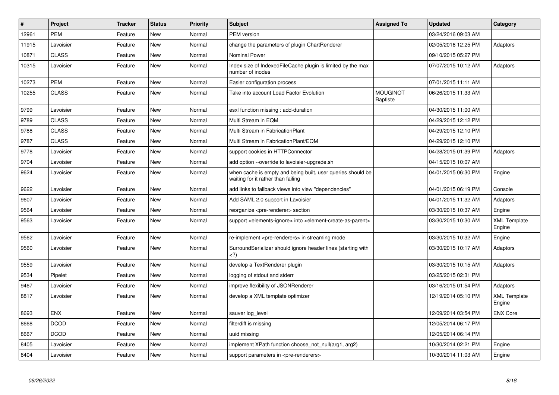| $\vert$ # | <b>Project</b> | <b>Tracker</b> | <b>Status</b> | <b>Priority</b> | <b>Subject</b>                                                                                         | <b>Assigned To</b>                 | <b>Updated</b>      | Category                      |
|-----------|----------------|----------------|---------------|-----------------|--------------------------------------------------------------------------------------------------------|------------------------------------|---------------------|-------------------------------|
| 12961     | <b>PEM</b>     | Feature        | <b>New</b>    | Normal          | PEM version                                                                                            |                                    | 03/24/2016 09:03 AM |                               |
| 11915     | Lavoisier      | Feature        | <b>New</b>    | Normal          | change the parameters of plugin ChartRenderer                                                          |                                    | 02/05/2016 12:25 PM | Adaptors                      |
| 10871     | <b>CLASS</b>   | Feature        | New           | Normal          | <b>Nominal Power</b>                                                                                   |                                    | 09/10/2015 05:27 PM |                               |
| 10315     | Lavoisier      | Feature        | New           | Normal          | Index size of IndexedFileCache plugin is limited by the max<br>number of inodes                        |                                    | 07/07/2015 10:12 AM | Adaptors                      |
| 10273     | <b>PEM</b>     | Feature        | New           | Normal          | Easier configuration process                                                                           |                                    | 07/01/2015 11:11 AM |                               |
| 10255     | <b>CLASS</b>   | Feature        | New           | Normal          | Take into account Load Factor Evolution                                                                | <b>MOUGINOT</b><br><b>Baptiste</b> | 06/26/2015 11:33 AM |                               |
| 9799      | Lavoisier      | Feature        | <b>New</b>    | Normal          | esxl function missing : add-duration                                                                   |                                    | 04/30/2015 11:00 AM |                               |
| 9789      | <b>CLASS</b>   | Feature        | New           | Normal          | Multi Stream in EQM                                                                                    |                                    | 04/29/2015 12:12 PM |                               |
| 9788      | <b>CLASS</b>   | Feature        | <b>New</b>    | Normal          | Multi Stream in FabricationPlant                                                                       |                                    | 04/29/2015 12:10 PM |                               |
| 9787      | <b>CLASS</b>   | Feature        | New           | Normal          | Multi Stream in FabricationPlant/EQM                                                                   |                                    | 04/29/2015 12:10 PM |                               |
| 9778      | Lavoisier      | Feature        | <b>New</b>    | Normal          | support cookies in HTTPConnector                                                                       |                                    | 04/28/2015 01:39 PM | Adaptors                      |
| 9704      | Lavoisier      | Feature        | New           | Normal          | add option --override to lavoisier-upgrade.sh                                                          |                                    | 04/15/2015 10:07 AM |                               |
| 9624      | Lavoisier      | Feature        | <b>New</b>    | Normal          | when cache is empty and being built, user queries should be<br>waiting for it rather than failing      |                                    | 04/01/2015 06:30 PM | Engine                        |
| 9622      | Lavoisier      | Feature        | <b>New</b>    | Normal          | add links to fallback views into view "dependencies"                                                   |                                    | 04/01/2015 06:19 PM | Console                       |
| 9607      | Lavoisier      | Feature        | New           | Normal          | Add SAML 2.0 support in Lavoisier                                                                      |                                    | 04/01/2015 11:32 AM | Adaptors                      |
| 9564      | Lavoisier      | Feature        | <b>New</b>    | Normal          | reorganize <pre-renderer> section</pre-renderer>                                                       |                                    | 03/30/2015 10:37 AM | Engine                        |
| 9563      | Lavoisier      | Feature        | <b>New</b>    | Normal          | support <elements-ignore> into <element-create-as-parent></element-create-as-parent></elements-ignore> |                                    | 03/30/2015 10:30 AM | <b>XML Template</b><br>Engine |
| 9562      | Lavoisier      | Feature        | <b>New</b>    | Normal          | re-implement <pre-renderers> in streaming mode</pre-renderers>                                         |                                    | 03/30/2015 10:32 AM | Engine                        |
| 9560      | Lavoisier      | Feature        | New           | Normal          | Surround Serializer should ignore header lines (starting with<br>$<$ ?)                                |                                    | 03/30/2015 10:17 AM | Adaptors                      |
| 9559      | Lavoisier      | Feature        | <b>New</b>    | Normal          | develop a TextRenderer plugin                                                                          |                                    | 03/30/2015 10:15 AM | Adaptors                      |
| 9534      | Pipelet        | Feature        | <b>New</b>    | Normal          | logging of stdout and stderr                                                                           |                                    | 03/25/2015 02:31 PM |                               |
| 9467      | Lavoisier      | Feature        | <b>New</b>    | Normal          | improve flexibility of JSONRenderer                                                                    |                                    | 03/16/2015 01:54 PM | Adaptors                      |
| 8817      | Lavoisier      | Feature        | <b>New</b>    | Normal          | develop a XML template optimizer                                                                       |                                    | 12/19/2014 05:10 PM | <b>XML Template</b><br>Engine |
| 8693      | <b>ENX</b>     | Feature        | <b>New</b>    | Normal          | sauver log_level                                                                                       |                                    | 12/09/2014 03:54 PM | <b>ENX Core</b>               |
| 8668      | <b>DCOD</b>    | Feature        | New           | Normal          | filterdiff is missing                                                                                  |                                    | 12/05/2014 06:17 PM |                               |
| 8667      | <b>DCOD</b>    | Feature        | <b>New</b>    | Normal          | uuid missing                                                                                           |                                    | 12/05/2014 06:14 PM |                               |
| 8405      | Lavoisier      | Feature        | New           | Normal          | implement XPath function choose not null(arg1, arg2)                                                   |                                    | 10/30/2014 02:21 PM | Engine                        |
| 8404      | Lavoisier      | Feature        | <b>New</b>    | Normal          | support parameters in <pre-renderers></pre-renderers>                                                  |                                    | 10/30/2014 11:03 AM | Engine                        |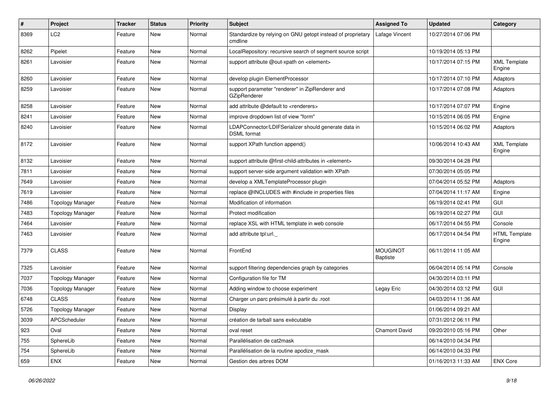| $\pmb{\#}$ | Project                 | Tracker | <b>Status</b> | <b>Priority</b> | <b>Subject</b>                                                             | <b>Assigned To</b>                 | <b>Updated</b>      | Category                       |
|------------|-------------------------|---------|---------------|-----------------|----------------------------------------------------------------------------|------------------------------------|---------------------|--------------------------------|
| 8369       | LC <sub>2</sub>         | Feature | New           | Normal          | Standardize by relying on GNU getopt instead of proprietary<br>cmdline     | Lafage Vincent                     | 10/27/2014 07:06 PM |                                |
| 8262       | Pipelet                 | Feature | <b>New</b>    | Normal          | LocalRepository: recursive search of segment source script                 |                                    | 10/19/2014 05:13 PM |                                |
| 8261       | Lavoisier               | Feature | New           | Normal          | support attribute @out-xpath on <element></element>                        |                                    | 10/17/2014 07:15 PM | <b>XML Template</b><br>Engine  |
| 8260       | Lavoisier               | Feature | <b>New</b>    | Normal          | develop plugin ElementProcessor                                            |                                    | 10/17/2014 07:10 PM | Adaptors                       |
| 8259       | Lavoisier               | Feature | New           | Normal          | support parameter "renderer" in ZipRenderer and<br><b>GZipRenderer</b>     |                                    | 10/17/2014 07:08 PM | Adaptors                       |
| 8258       | Lavoisier               | Feature | <b>New</b>    | Normal          | add attribute @default to <renderers></renderers>                          |                                    | 10/17/2014 07:07 PM | Engine                         |
| 8241       | Lavoisier               | Feature | <b>New</b>    | Normal          | improve dropdown list of view "form"                                       |                                    | 10/15/2014 06:05 PM | Engine                         |
| 8240       | Lavoisier               | Feature | New           | Normal          | LDAPConnector/LDIFSerializer should generate data in<br><b>DSML</b> format |                                    | 10/15/2014 06:02 PM | Adaptors                       |
| 8172       | Lavoisier               | Feature | <b>New</b>    | Normal          | support XPath function append()                                            |                                    | 10/06/2014 10:43 AM | <b>XML Template</b><br>Engine  |
| 8132       | Lavoisier               | Feature | New           | Normal          | support attribute @first-child-attributes in <element></element>           |                                    | 09/30/2014 04:28 PM |                                |
| 7811       | Lavoisier               | Feature | New           | Normal          | support server-side argument validation with XPath                         |                                    | 07/30/2014 05:05 PM |                                |
| 7649       | Lavoisier               | Feature | New           | Normal          | develop a XMLTemplateProcessor plugin                                      |                                    | 07/04/2014 05:52 PM | Adaptors                       |
| 7619       | Lavoisier               | Feature | <b>New</b>    | Normal          | replace @INCLUDES with #include in properties files                        |                                    | 07/04/2014 11:17 AM | Engine                         |
| 7486       | <b>Topology Manager</b> | Feature | New           | Normal          | Modification of information                                                |                                    | 06/19/2014 02:41 PM | <b>GUI</b>                     |
| 7483       | <b>Topology Manager</b> | Feature | New           | Normal          | Protect modification                                                       |                                    | 06/19/2014 02:27 PM | GUI                            |
| 7464       | Lavoisier               | Feature | <b>New</b>    | Normal          | replace XSL with HTML template in web console                              |                                    | 06/17/2014 04:55 PM | Console                        |
| 7463       | Lavoisier               | Feature | New           | Normal          | add attribute tpl:url.                                                     |                                    | 06/17/2014 04:54 PM | <b>HTML Template</b><br>Engine |
| 7379       | <b>CLASS</b>            | Feature | <b>New</b>    | Normal          | FrontEnd                                                                   | <b>MOUGINOT</b><br><b>Baptiste</b> | 06/11/2014 11:05 AM |                                |
| 7325       | Lavoisier               | Feature | <b>New</b>    | Normal          | support filtering dependencies graph by categories                         |                                    | 06/04/2014 05:14 PM | Console                        |
| 7037       | <b>Topology Manager</b> | Feature | New           | Normal          | Configuration file for TM                                                  |                                    | 04/30/2014 03:11 PM |                                |
| 7036       | <b>Topology Manager</b> | Feature | New           | Normal          | Adding window to choose experiment                                         | Legay Eric                         | 04/30/2014 03:12 PM | GUI                            |
| 6748       | <b>CLASS</b>            | Feature | New           | Normal          | Charger un parc présimulé à partir du .root                                |                                    | 04/03/2014 11:36 AM |                                |
| 5726       | <b>Topology Manager</b> | Feature | New           | Normal          | Display                                                                    |                                    | 01/06/2014 09:21 AM |                                |
| 3039       | APCScheduler            | Feature | <b>New</b>    | Normal          | création de tarball sans exécutable                                        |                                    | 07/31/2012 06:11 PM |                                |
| 923        | Oval                    | Feature | New           | Normal          | oval reset                                                                 | Chamont David                      | 09/20/2010 05:16 PM | Other                          |
| 755        | SphereLib               | Feature | New           | Normal          | Parallélisation de cat2mask                                                |                                    | 06/14/2010 04:34 PM |                                |
| 754        | SphereLib               | Feature | <b>New</b>    | Normal          | Parallélisation de la routine apodize mask                                 |                                    | 06/14/2010 04:33 PM |                                |
| 659        | ENX                     | Feature | New           | Normal          | Gestion des arbres DOM                                                     |                                    | 01/16/2013 11:33 AM | <b>ENX Core</b>                |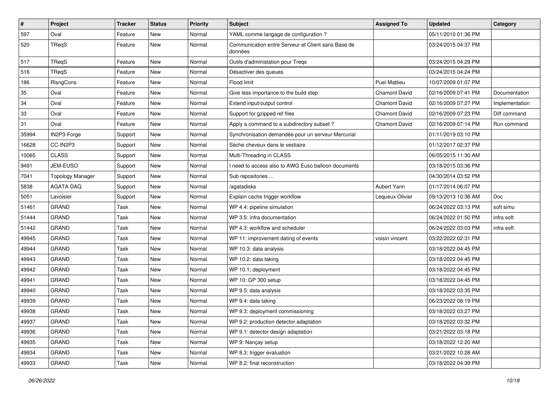| $\pmb{\#}$ | Project                 | <b>Tracker</b> | <b>Status</b> | <b>Priority</b> | Subject                                                       | <b>Assigned To</b>   | <b>Updated</b>      | Category       |
|------------|-------------------------|----------------|---------------|-----------------|---------------------------------------------------------------|----------------------|---------------------|----------------|
| 597        | Oval                    | Feature        | New           | Normal          | YAML comme langage de configuration ?                         |                      | 05/11/2010 01:36 PM |                |
| 520        | TReqS                   | Feature        | <b>New</b>    | Normal          | Communication entre Serveur et Client sans Base de<br>données |                      | 03/24/2015 04:37 PM |                |
| 517        | TReqS                   | Feature        | <b>New</b>    | Normal          | Outils d'administation pour Treqs                             |                      | 03/24/2015 04:29 PM |                |
| 516        | TReaS                   | Feature        | <b>New</b>    | Normal          | Désactiver des queues                                         |                      | 03/24/2015 04:24 PM |                |
| 186        | RIsngCons               | Feature        | New           | Normal          | Flood limit                                                   | <b>Puel Mattieu</b>  | 10/07/2009 01:07 PM |                |
| 35         | Oval                    | Feature        | <b>New</b>    | Normal          | Give less importance to the build step                        | <b>Chamont David</b> | 02/16/2009 07:41 PM | Documentation  |
| 34         | Oval                    | Feature        | New           | Normal          | Extend input/output control                                   | <b>Chamont David</b> | 02/16/2009 07:27 PM | Implementation |
| 33         | Oval                    | Feature        | New           | Normal          | Support for gzipped ref files                                 | <b>Chamont David</b> | 02/16/2009 07:23 PM | Diff command   |
| 31         | Oval                    | Feature        | <b>New</b>    | Normal          | Apply a command to a subdirectory subset?                     | <b>Chamont David</b> | 02/16/2009 07:14 PM | Run command    |
| 35994      | IN2P3-Forge             | Support        | New           | Normal          | Synchronisation demandée pour un serveur Mercurial            |                      | 01/11/2019 03:10 PM |                |
| 16628      | CC-IN2P3                | Support        | New           | Normal          | Sèche cheveux dans le vestiaire                               |                      | 01/12/2017 02:37 PM |                |
| 10065      | <b>CLASS</b>            | Support        | New           | Normal          | Multi-Threading in CLASS                                      |                      | 06/05/2015 11:30 AM |                |
| 9491       | JEM-EUSO                | Support        | <b>New</b>    | Normal          | I need to access also to AWG Euso balloon documents           |                      | 03/18/2015 03:36 PM |                |
| 7041       | <b>Topology Manager</b> | Support        | <b>New</b>    | Normal          | Sub repositories                                              |                      | 04/30/2014 03:52 PM |                |
| 5838       | <b>AGATA DAQ</b>        | Support        | New           | Normal          | /agatadisks                                                   | Aubert Yann          | 01/17/2014 06:07 PM |                |
| 5051       | Lavoisier               | Support        | New           | Normal          | Explain cache trigger workflow                                | Lequeux Olivier      | 09/13/2013 10:36 AM | Doc            |
| 51461      | <b>GRAND</b>            | Task           | <b>New</b>    | Normal          | WP 4.4: pipeline simulation                                   |                      | 06/24/2022 03:13 PM | soft simu      |
| 51444      | <b>GRAND</b>            | Task           | <b>New</b>    | Normal          | WP 3.5: infra documentation                                   |                      | 06/24/2022 01:50 PM | infra soft     |
| 51442      | <b>GRAND</b>            | Task           | <b>New</b>    | Normal          | WP 4.3: workflow and scheduler                                |                      | 06/24/2022 03:03 PM | infra soft     |
| 49945      | <b>GRAND</b>            | Task           | New           | Normal          | WP 11: improvement dating of events                           | voisin vincent       | 03/22/2022 02:31 PM |                |
| 49944      | GRAND                   | Task           | <b>New</b>    | Normal          | WP 10.3: data analysis                                        |                      | 03/18/2022 04:45 PM |                |
| 49943      | <b>GRAND</b>            | Task           | <b>New</b>    | Normal          | WP 10.2: data taking                                          |                      | 03/18/2022 04:45 PM |                |
| 49942      | <b>GRAND</b>            | Task           | New           | Normal          | WP 10.1: deployment                                           |                      | 03/18/2022 04:45 PM |                |
| 49941      | <b>GRAND</b>            | Task           | <b>New</b>    | Normal          | WP 10: GP 300 setup                                           |                      | 03/18/2022 04:45 PM |                |
| 49940      | <b>GRAND</b>            | Task           | New           | Normal          | WP 9.5: data analysis                                         |                      | 03/18/2022 03:35 PM |                |
| 49939      | <b>GRAND</b>            | Task           | New           | Normal          | WP 9.4: data taking                                           |                      | 06/23/2022 08:19 PM |                |
| 49938      | <b>GRAND</b>            | Task           | <b>New</b>    | Normal          | WP 9.3: deployment commissioning                              |                      | 03/18/2022 03:27 PM |                |
| 49937      | <b>GRAND</b>            | Task           | New           | Normal          | WP 9.2: production detector adaptation                        |                      | 03/18/2022 03:32 PM |                |
| 49936      | <b>GRAND</b>            | Task           | <b>New</b>    | Normal          | WP 9.1: detector design adaptation                            |                      | 03/21/2022 03:18 PM |                |
| 49935      | <b>GRAND</b>            | Task           | New           | Normal          | WP 9: Nançay setup                                            |                      | 03/18/2022 12:20 AM |                |
| 49934      | GRAND                   | Task           | New           | Normal          | WP 8.3: trigger evaluation                                    |                      | 03/21/2022 10:28 AM |                |
| 49933      | GRAND                   | Task           | New           | Normal          | WP 8.2: final reconstruction                                  |                      | 03/18/2022 04:39 PM |                |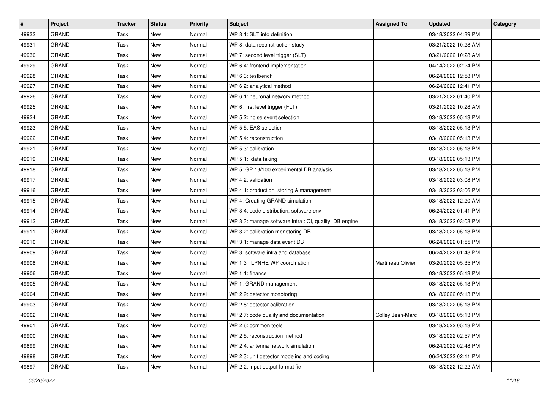| $\sharp$ | <b>Project</b> | <b>Tracker</b> | <b>Status</b> | <b>Priority</b> | <b>Subject</b>                                         | <b>Assigned To</b> | <b>Updated</b>      | Category |
|----------|----------------|----------------|---------------|-----------------|--------------------------------------------------------|--------------------|---------------------|----------|
| 49932    | <b>GRAND</b>   | Task           | New           | Normal          | WP 8.1: SLT info definition                            |                    | 03/18/2022 04:39 PM |          |
| 49931    | <b>GRAND</b>   | Task           | New           | Normal          | WP 8: data reconstruction study                        |                    | 03/21/2022 10:28 AM |          |
| 49930    | GRAND          | Task           | New           | Normal          | WP 7: second level trigger (SLT)                       |                    | 03/21/2022 10:28 AM |          |
| 49929    | <b>GRAND</b>   | Task           | New           | Normal          | WP 6.4: frontend implementation                        |                    | 04/14/2022 02:24 PM |          |
| 49928    | <b>GRAND</b>   | Task           | New           | Normal          | WP 6.3: testbench                                      |                    | 06/24/2022 12:58 PM |          |
| 49927    | <b>GRAND</b>   | Task           | New           | Normal          | WP 6.2: analytical method                              |                    | 06/24/2022 12:41 PM |          |
| 49926    | <b>GRAND</b>   | Task           | New           | Normal          | WP 6.1: neuronal network method                        |                    | 03/21/2022 01:40 PM |          |
| 49925    | <b>GRAND</b>   | Task           | New           | Normal          | WP 6: first level trigger (FLT)                        |                    | 03/21/2022 10:28 AM |          |
| 49924    | <b>GRAND</b>   | Task           | New           | Normal          | WP 5.2: noise event selection                          |                    | 03/18/2022 05:13 PM |          |
| 49923    | <b>GRAND</b>   | Task           | New           | Normal          | WP 5.5: EAS selection                                  |                    | 03/18/2022 05:13 PM |          |
| 49922    | <b>GRAND</b>   | Task           | New           | Normal          | WP 5.4: reconstruction                                 |                    | 03/18/2022 05:13 PM |          |
| 49921    | <b>GRAND</b>   | Task           | New           | Normal          | WP 5.3: calibration                                    |                    | 03/18/2022 05:13 PM |          |
| 49919    | <b>GRAND</b>   | Task           | New           | Normal          | WP 5.1: data taking                                    |                    | 03/18/2022 05:13 PM |          |
| 49918    | <b>GRAND</b>   | Task           | New           | Normal          | WP 5: GP 13/100 experimental DB analysis               |                    | 03/18/2022 05:13 PM |          |
| 49917    | <b>GRAND</b>   | Task           | New           | Normal          | WP 4.2: validation                                     |                    | 03/18/2022 03:08 PM |          |
| 49916    | <b>GRAND</b>   | Task           | New           | Normal          | WP 4.1: production, storing & management               |                    | 03/18/2022 03:06 PM |          |
| 49915    | <b>GRAND</b>   | Task           | New           | Normal          | WP 4: Creating GRAND simulation                        |                    | 03/18/2022 12:20 AM |          |
| 49914    | <b>GRAND</b>   | Task           | New           | Normal          | WP 3.4: code distribution, software env.               |                    | 06/24/2022 01:41 PM |          |
| 49912    | <b>GRAND</b>   | Task           | New           | Normal          | WP 3.3: manage software infra : CI, quality, DB engine |                    | 03/18/2022 03:03 PM |          |
| 49911    | <b>GRAND</b>   | Task           | New           | Normal          | WP 3.2: calibration monotoring DB                      |                    | 03/18/2022 05:13 PM |          |
| 49910    | <b>GRAND</b>   | Task           | New           | Normal          | WP 3.1: manage data event DB                           |                    | 06/24/2022 01:55 PM |          |
| 49909    | <b>GRAND</b>   | Task           | New           | Normal          | WP 3: software infra and database                      |                    | 06/24/2022 01:48 PM |          |
| 49908    | <b>GRAND</b>   | Task           | New           | Normal          | WP 1.3 : LPNHE WP coordination                         | Martineau Olivier  | 03/20/2022 05:35 PM |          |
| 49906    | <b>GRAND</b>   | Task           | New           | Normal          | WP 1.1: finance                                        |                    | 03/18/2022 05:13 PM |          |
| 49905    | <b>GRAND</b>   | Task           | New           | Normal          | WP 1: GRAND management                                 |                    | 03/18/2022 05:13 PM |          |
| 49904    | <b>GRAND</b>   | Task           | New           | Normal          | WP 2.9: detector monotoring                            |                    | 03/18/2022 05:13 PM |          |
| 49903    | <b>GRAND</b>   | Task           | <b>New</b>    | Normal          | WP 2.8: detector calibration                           |                    | 03/18/2022 05:13 PM |          |
| 49902    | GRAND          | Task           | New           | Normal          | WP 2.7: code quality and documentation                 | Colley Jean-Marc   | 03/18/2022 05:13 PM |          |
| 49901    | <b>GRAND</b>   | Task           | New           | Normal          | WP 2.6: common tools                                   |                    | 03/18/2022 05:13 PM |          |
| 49900    | <b>GRAND</b>   | Task           | New           | Normal          | WP 2.5: reconstruction method                          |                    | 03/18/2022 02:57 PM |          |
| 49899    | GRAND          | Task           | New           | Normal          | WP 2.4: antenna network simulation                     |                    | 06/24/2022 02:48 PM |          |
| 49898    | GRAND          | Task           | New           | Normal          | WP 2.3: unit detector modeling and coding              |                    | 06/24/2022 02:11 PM |          |
| 49897    | GRAND          | Task           | New           | Normal          | WP 2.2: input output format fie                        |                    | 03/18/2022 12:22 AM |          |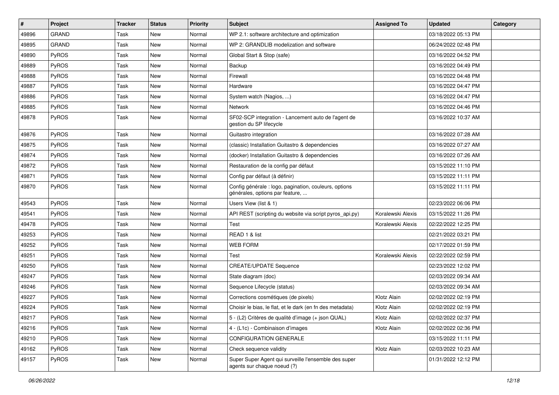| $\sharp$ | Project      | <b>Tracker</b> | <b>Status</b> | <b>Priority</b> | Subject                                                                                  | <b>Assigned To</b> | <b>Updated</b>      | Category |
|----------|--------------|----------------|---------------|-----------------|------------------------------------------------------------------------------------------|--------------------|---------------------|----------|
| 49896    | <b>GRAND</b> | Task           | New           | Normal          | WP 2.1: software architecture and optimization                                           |                    | 03/18/2022 05:13 PM |          |
| 49895    | <b>GRAND</b> | Task           | <b>New</b>    | Normal          | WP 2: GRANDLIB modelization and software                                                 |                    | 06/24/2022 02:48 PM |          |
| 49890    | PyROS        | Task           | New           | Normal          | Global Start & Stop (safe)                                                               |                    | 03/16/2022 04:52 PM |          |
| 49889    | PyROS        | Task           | <b>New</b>    | Normal          | Backup                                                                                   |                    | 03/16/2022 04:49 PM |          |
| 49888    | PyROS        | Task           | <b>New</b>    | Normal          | Firewall                                                                                 |                    | 03/16/2022 04:48 PM |          |
| 49887    | PyROS        | Task           | New           | Normal          | Hardware                                                                                 |                    | 03/16/2022 04:47 PM |          |
| 49886    | PyROS        | Task           | <b>New</b>    | Normal          | System watch (Nagios, )                                                                  |                    | 03/16/2022 04:47 PM |          |
| 49885    | PyROS        | Task           | New           | Normal          | <b>Network</b>                                                                           |                    | 03/16/2022 04:46 PM |          |
| 49878    | PyROS        | Task           | New           | Normal          | SF02-SCP integration - Lancement auto de l'agent de<br>gestion du SP lifecycle           |                    | 03/16/2022 10:37 AM |          |
| 49876    | PyROS        | Task           | New           | Normal          | Guitastro integration                                                                    |                    | 03/16/2022 07:28 AM |          |
| 49875    | PyROS        | Task           | New           | Normal          | (classic) Installation Guitastro & dependencies                                          |                    | 03/16/2022 07:27 AM |          |
| 49874    | PyROS        | Task           | New           | Normal          | (docker) Installation Guitastro & dependencies                                           |                    | 03/16/2022 07:26 AM |          |
| 49872    | PyROS        | Task           | New           | Normal          | Restauration de la config par défaut                                                     |                    | 03/15/2022 11:10 PM |          |
| 49871    | PyROS        | Task           | <b>New</b>    | Normal          | Config par défaut (à définir)                                                            |                    | 03/15/2022 11:11 PM |          |
| 49870    | <b>PyROS</b> | Task           | <b>New</b>    | Normal          | Config générale : logo, pagination, couleurs, options<br>générales, options par feature, |                    | 03/15/2022 11:11 PM |          |
| 49543    | PyROS        | Task           | <b>New</b>    | Normal          | Users View (list & 1)                                                                    |                    | 02/23/2022 06:06 PM |          |
| 49541    | PyROS        | Task           | New           | Normal          | API REST (scripting du website via script pyros_api.py)                                  | Koralewski Alexis  | 03/15/2022 11:26 PM |          |
| 49478    | PyROS        | Task           | <b>New</b>    | Normal          | Test                                                                                     | Koralewski Alexis  | 02/22/2022 12:25 PM |          |
| 49253    | PyROS        | Task           | New           | Normal          | READ 1 & list                                                                            |                    | 02/21/2022 03:21 PM |          |
| 49252    | PyROS        | Task           | <b>New</b>    | Normal          | <b>WEB FORM</b>                                                                          |                    | 02/17/2022 01:59 PM |          |
| 49251    | PyROS        | Task           | <b>New</b>    | Normal          | Test                                                                                     | Koralewski Alexis  | 02/22/2022 02:59 PM |          |
| 49250    | PyROS        | Task           | New           | Normal          | <b>CREATE/UPDATE Sequence</b>                                                            |                    | 02/23/2022 12:02 PM |          |
| 49247    | PyROS        | Task           | New           | Normal          | State diagram (doc)                                                                      |                    | 02/03/2022 09:34 AM |          |
| 49246    | PyROS        | Task           | New           | Normal          | Sequence Lifecycle (status)                                                              |                    | 02/03/2022 09:34 AM |          |
| 49227    | PyROS        | Task           | New           | Normal          | Corrections cosmétiques (de pixels)                                                      | Klotz Alain        | 02/02/2022 02:19 PM |          |
| 49224    | PyROS        | Task           | <b>New</b>    | Normal          | Choisir le bias, le flat, et le dark (en fn des metadata)                                | Klotz Alain        | 02/02/2022 02:19 PM |          |
| 49217    | PyROS        | Task           | New           | Normal          | 5 - (L2) Critères de qualité d'image (+ json QUAL)                                       | Klotz Alain        | 02/02/2022 02:37 PM |          |
| 49216    | PyROS        | Task           | New           | Normal          | 4 - (L1c) - Combinaison d'images                                                         | Klotz Alain        | 02/02/2022 02:36 PM |          |
| 49210    | PyROS        | Task           | New           | Normal          | CONFIGURATION GENERALE                                                                   |                    | 03/15/2022 11:11 PM |          |
| 49162    | PyROS        | Task           | New           | Normal          | Check sequence validity                                                                  | Klotz Alain        | 02/03/2022 10:23 AM |          |
| 49157    | PyROS        | Task           | New           | Normal          | Super Super Agent qui surveille l'ensemble des super<br>agents sur chaque noeud (?)      |                    | 01/31/2022 12:12 PM |          |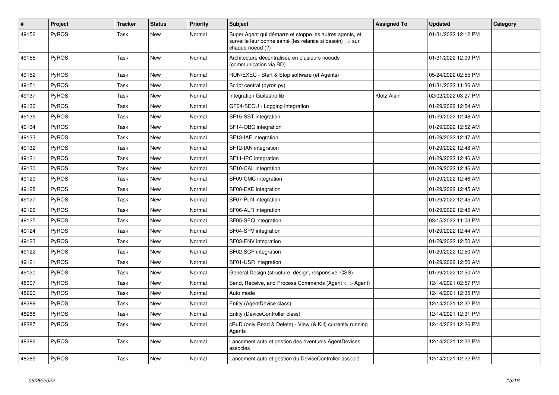| $\vert$ # | Project      | <b>Tracker</b> | <b>Status</b> | <b>Priority</b> | <b>Subject</b>                                                                                                                           | <b>Assigned To</b> | <b>Updated</b>      | Category |
|-----------|--------------|----------------|---------------|-----------------|------------------------------------------------------------------------------------------------------------------------------------------|--------------------|---------------------|----------|
| 49156     | PyROS        | Task           | New           | Normal          | Super Agent qui démarre et stoppe les autres agents, et<br>surveille leur bonne santé (les relance si besoin) => sur<br>chaque noeud (?) |                    | 01/31/2022 12:12 PM |          |
| 49155     | PyROS        | Task           | New           | Normal          | Architecture décentralisée en plusieurs noeuds<br>(communication via BD)                                                                 |                    | 01/31/2022 12:09 PM |          |
| 49152     | <b>PyROS</b> | Task           | <b>New</b>    | Normal          | RUN/EXEC - Start & Stop software (et Agents)                                                                                             |                    | 05/24/2022 02:55 PM |          |
| 49151     | <b>PyROS</b> | Task           | <b>New</b>    | Normal          | Script central (pyros.py)                                                                                                                |                    | 01/31/2022 11:36 AM |          |
| 49137     | PyROS        | Task           | New           | Normal          | Integration Guitastro lib                                                                                                                | Klotz Alain        | 02/02/2022 03:27 PM |          |
| 49136     | <b>PyROS</b> | Task           | <b>New</b>    | Normal          | GF04-SECU - Logging integration                                                                                                          |                    | 01/29/2022 12:54 AM |          |
| 49135     | PyROS        | Task           | New           | Normal          | SF15-SST integration                                                                                                                     |                    | 01/29/2022 12:48 AM |          |
| 49134     | PyROS        | Task           | New           | Normal          | SF14-OBC integration                                                                                                                     |                    | 01/29/2022 12:52 AM |          |
| 49133     | PyROS        | Task           | <b>New</b>    | Normal          | SF13-IAF integration                                                                                                                     |                    | 01/29/2022 12:47 AM |          |
| 49132     | <b>PyROS</b> | Task           | <b>New</b>    | Normal          | SF12-IAN integration                                                                                                                     |                    | 01/29/2022 12:48 AM |          |
| 49131     | <b>PyROS</b> | Task           | New           | Normal          | SF11-IPC integration                                                                                                                     |                    | 01/29/2022 12:46 AM |          |
| 49130     | <b>PyROS</b> | Task           | New           | Normal          | SF10-CAL integration                                                                                                                     |                    | 01/29/2022 12:46 AM |          |
| 49129     | PyROS        | Task           | <b>New</b>    | Normal          | SF09-CMC integration                                                                                                                     |                    | 01/29/2022 12:46 AM |          |
| 49128     | PyROS        | Task           | <b>New</b>    | Normal          | SF08-EXE integration                                                                                                                     |                    | 01/29/2022 12:45 AM |          |
| 49127     | <b>PyROS</b> | Task           | New           | Normal          | SF07-PLN integration                                                                                                                     |                    | 01/29/2022 12:45 AM |          |
| 49126     | <b>PyROS</b> | Task           | <b>New</b>    | Normal          | SF06-ALR integration                                                                                                                     |                    | 01/29/2022 12:45 AM |          |
| 49125     | PyROS        | Task           | New           | Normal          | SF05-SEQ integration                                                                                                                     |                    | 03/15/2022 11:03 PM |          |
| 49124     | PyROS        | Task           | <b>New</b>    | Normal          | SF04-SPV integration                                                                                                                     |                    | 01/29/2022 12:44 AM |          |
| 49123     | PyROS        | Task           | <b>New</b>    | Normal          | SF03-ENV integration                                                                                                                     |                    | 01/29/2022 12:50 AM |          |
| 49122     | PyROS        | Task           | <b>New</b>    | Normal          | SF02-SCP integration                                                                                                                     |                    | 01/29/2022 12:50 AM |          |
| 49121     | <b>PyROS</b> | Task           | New           | Normal          | SF01-USR integration                                                                                                                     |                    | 01/29/2022 12:50 AM |          |
| 49120     | PyROS        | Task           | <b>New</b>    | Normal          | General Design (structure, design, responsive, CSS)                                                                                      |                    | 01/29/2022 12:50 AM |          |
| 48307     | PyROS        | Task           | <b>New</b>    | Normal          | Send, Receive, and Process Commands (Agent <=> Agent)                                                                                    |                    | 12/14/2021 02:57 PM |          |
| 48290     | PyROS        | Task           | New           | Normal          | Auto mode                                                                                                                                |                    | 12/14/2021 12:35 PM |          |
| 48289     | PyROS        | Task           | <b>New</b>    | Normal          | Entity (AgentDevice class)                                                                                                               |                    | 12/14/2021 12:32 PM |          |
| 48288     | PyROS        | Task           | <b>New</b>    | Normal          | Entity (DeviceController class)                                                                                                          |                    | 12/14/2021 12:31 PM |          |
| 48287     | <b>PyROS</b> | Task           | New           | Normal          | cRuD (only Read & Delete) - View (& Kill) currently running<br>Agents                                                                    |                    | 12/14/2021 12:26 PM |          |
| 48286     | PyROS        | Task           | <b>New</b>    | Normal          | Lancement auto et gestion des éventuels AgentDevices<br>associés                                                                         |                    | 12/14/2021 12:22 PM |          |
| 48285     | PyROS        | Task           | <b>New</b>    | Normal          | Lancement auto et gestion du DeviceController associé                                                                                    |                    | 12/14/2021 12:22 PM |          |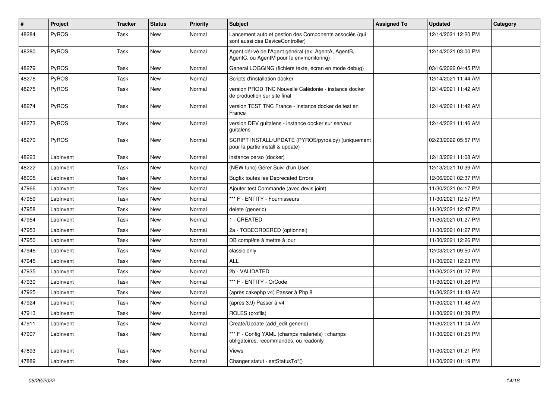| $\sharp$ | Project   | <b>Tracker</b> | <b>Status</b> | <b>Priority</b> | <b>Subject</b>                                                                                   | <b>Assigned To</b> | <b>Updated</b>      | Category |
|----------|-----------|----------------|---------------|-----------------|--------------------------------------------------------------------------------------------------|--------------------|---------------------|----------|
| 48284    | PyROS     | Task           | New           | Normal          | Lancement auto et gestion des Components associés (qui<br>sont aussi des DeviceController)       |                    | 12/14/2021 12:20 PM |          |
| 48280    | PyROS     | Task           | New           | Normal          | Agent dérivé de l'Agent général (ex: AgentA, AgentB,<br>AgentC, ou AgentM pour le envmonitoring) |                    | 12/14/2021 03:00 PM |          |
| 48279    | PyROS     | Task           | <b>New</b>    | Normal          | General LOGGING (fichiers texte, écran en mode debug)                                            |                    | 03/16/2022 04:45 PM |          |
| 48276    | PyROS     | Task           | <b>New</b>    | Normal          | Scripts d'installation docker                                                                    |                    | 12/14/2021 11:44 AM |          |
| 48275    | PyROS     | Task           | New           | Normal          | version PROD TNC Nouvelle Calédonie - instance docker<br>de production sur site final            |                    | 12/14/2021 11:42 AM |          |
| 48274    | PyROS     | Task           | <b>New</b>    | Normal          | version TEST TNC France - instance docker de test en<br>France                                   |                    | 12/14/2021 11:42 AM |          |
| 48273    | PyROS     | Task           | New           | Normal          | version DEV guitalens - instance docker sur serveur<br>guitalens                                 |                    | 12/14/2021 11:46 AM |          |
| 48270    | PyROS     | Task           | <b>New</b>    | Normal          | SCRIPT INSTALL/UPDATE (PYROS/pyros.py) (uniquement<br>pour la partie install & update)           |                    | 02/23/2022 05:57 PM |          |
| 48223    | LabInvent | Task           | <b>New</b>    | Normal          | instance perso (docker)                                                                          |                    | 12/13/2021 11:08 AM |          |
| 48222    | LabInvent | Task           | New           | Normal          | (NEW func) Gérer Suivi d'un User                                                                 |                    | 12/13/2021 10:39 AM |          |
| 48005    | LabInvent | Task           | <b>New</b>    | Normal          | <b>Bugfix toutes les Deprecated Errors</b>                                                       |                    | 12/06/2021 02:37 PM |          |
| 47966    | LabInvent | Task           | New           | Normal          | Ajouter test Commande (avec devis joint)                                                         |                    | 11/30/2021 04:17 PM |          |
| 47959    | LabInvent | Task           | New           | Normal          | *** F - ENTITY - Fournisseurs                                                                    |                    | 11/30/2021 12:57 PM |          |
| 47958    | LabInvent | Task           | <b>New</b>    | Normal          | delete (generic)                                                                                 |                    | 11/30/2021 12:47 PM |          |
| 47954    | LabInvent | Task           | <b>New</b>    | Normal          | 1 - CREATED                                                                                      |                    | 11/30/2021 01:27 PM |          |
| 47953    | LabInvent | Task           | New           | Normal          | 2a - TOBEORDERED (optionnel)                                                                     |                    | 11/30/2021 01:27 PM |          |
| 47950    | LabInvent | Task           | New           | Normal          | DB complète à mettre à jour                                                                      |                    | 11/30/2021 12:26 PM |          |
| 47946    | LabInvent | Task           | New           | Normal          | classic only                                                                                     |                    | 12/03/2021 09:50 AM |          |
| 47945    | LabInvent | Task           | New           | Normal          | <b>ALL</b>                                                                                       |                    | 11/30/2021 12:23 PM |          |
| 47935    | LabInvent | Task           | New           | Normal          | 2b - VALIDATED                                                                                   |                    | 11/30/2021 01:27 PM |          |
| 47930    | LabInvent | Task           | New           | Normal          | *** F - ENTITY - QrCode                                                                          |                    | 11/30/2021 01:26 PM |          |
| 47925    | LabInvent | Task           | <b>New</b>    | Normal          | (après cakephp v4) Passer à Php 8                                                                |                    | 11/30/2021 11:48 AM |          |
| 47924    | LabInvent | Task           | New           | Normal          | (après 3.9) Passer à v4                                                                          |                    | 11/30/2021 11:48 AM |          |
| 47913    | LabInvent | Task           | <b>New</b>    | Normal          | ROLES (profils)                                                                                  |                    | 11/30/2021 01:39 PM |          |
| 47911    | LabInvent | Task           | New           | Normal          | Create/Update (add_edit generic)                                                                 |                    | 11/30/2021 11:04 AM |          |
| 47907    | LabInvent | Task           | New           | Normal          | *** F - Config YAML (champs materiels) : champs<br>obligatoires, recommandés, ou readonly        |                    | 11/30/2021 01:25 PM |          |
| 47893    | LabInvent | Task           | New           | Normal          | Views                                                                                            |                    | 11/30/2021 01:21 PM |          |
| 47889    | LabInvent | Task           | New           | Normal          | Changer statut - setStatusTo*()                                                                  |                    | 11/30/2021 01:19 PM |          |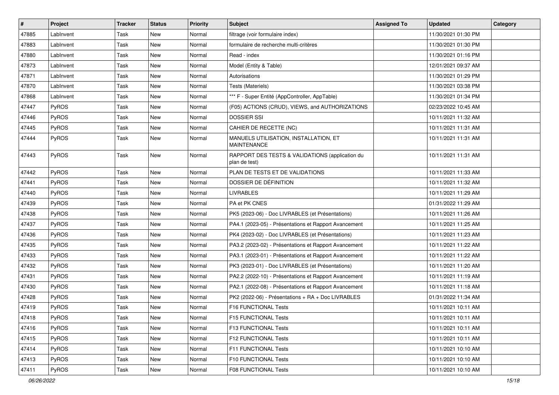| $\vert$ # | Project      | <b>Tracker</b> | <b>Status</b> | <b>Priority</b> | <b>Subject</b>                                                   | <b>Assigned To</b> | <b>Updated</b>      | Category |
|-----------|--------------|----------------|---------------|-----------------|------------------------------------------------------------------|--------------------|---------------------|----------|
| 47885     | LabInvent    | Task           | New           | Normal          | filtrage (voir formulaire index)                                 |                    | 11/30/2021 01:30 PM |          |
| 47883     | LabInvent    | Task           | New           | Normal          | formulaire de recherche multi-critères                           |                    | 11/30/2021 01:30 PM |          |
| 47880     | LabInvent    | Task           | New           | Normal          | Read - index                                                     |                    | 11/30/2021 01:16 PM |          |
| 47873     | LabInvent    | Task           | New           | Normal          | Model (Entity & Table)                                           |                    | 12/01/2021 09:37 AM |          |
| 47871     | LabInvent    | Task           | New           | Normal          | Autorisations                                                    |                    | 11/30/2021 01:29 PM |          |
| 47870     | LabInvent    | Task           | New           | Normal          | <b>Tests (Materiels)</b>                                         |                    | 11/30/2021 03:38 PM |          |
| 47868     | LabInvent    | Task           | New           | Normal          | *** F - Super Entité (AppController, AppTable)                   |                    | 11/30/2021 01:34 PM |          |
| 47447     | PyROS        | Task           | <b>New</b>    | Normal          | (F05) ACTIONS (CRUD), VIEWS, and AUTHORIZATIONS                  |                    | 02/23/2022 10:45 AM |          |
| 47446     | PyROS        | Task           | New           | Normal          | <b>DOSSIER SSI</b>                                               |                    | 10/11/2021 11:32 AM |          |
| 47445     | PyROS        | Task           | New           | Normal          | CAHIER DE RECETTE (NC)                                           |                    | 10/11/2021 11:31 AM |          |
| 47444     | <b>PyROS</b> | Task           | New           | Normal          | MANUELS UTILISATION, INSTALLATION, ET<br><b>MAINTENANCE</b>      |                    | 10/11/2021 11:31 AM |          |
| 47443     | PyROS        | Task           | New           | Normal          | RAPPORT DES TESTS & VALIDATIONS (application du<br>plan de test) |                    | 10/11/2021 11:31 AM |          |
| 47442     | PyROS        | Task           | <b>New</b>    | Normal          | PLAN DE TESTS ET DE VALIDATIONS                                  |                    | 10/11/2021 11:33 AM |          |
| 47441     | PyROS        | Task           | New           | Normal          | DOSSIER DE DÉFINITION                                            |                    | 10/11/2021 11:32 AM |          |
| 47440     | PyROS        | Task           | New           | Normal          | LIVRABLES                                                        |                    | 10/11/2021 11:29 AM |          |
| 47439     | PyROS        | Task           | New           | Normal          | PA et PK CNES                                                    |                    | 01/31/2022 11:29 AM |          |
| 47438     | PyROS        | Task           | New           | Normal          | PK5 (2023-06) - Doc LIVRABLES (et Présentations)                 |                    | 10/11/2021 11:26 AM |          |
| 47437     | PyROS        | Task           | New           | Normal          | PA4.1 (2023-05) - Présentations et Rapport Avancement            |                    | 10/11/2021 11:25 AM |          |
| 47436     | PyROS        | Task           | New           | Normal          | PK4 (2023-02) - Doc LIVRABLES (et Présentations)                 |                    | 10/11/2021 11:23 AM |          |
| 47435     | PyROS        | Task           | New           | Normal          | PA3.2 (2023-02) - Présentations et Rapport Avancement            |                    | 10/11/2021 11:22 AM |          |
| 47433     | PyROS        | Task           | New           | Normal          | PA3.1 (2023-01) - Présentations et Rapport Avancement            |                    | 10/11/2021 11:22 AM |          |
| 47432     | <b>PyROS</b> | Task           | New           | Normal          | PK3 (2023-01) - Doc LIVRABLES (et Présentations)                 |                    | 10/11/2021 11:20 AM |          |
| 47431     | PyROS        | Task           | New           | Normal          | PA2.2 (2022-10) - Présentations et Rapport Avancement            |                    | 10/11/2021 11:19 AM |          |
| 47430     | PyROS        | Task           | <b>New</b>    | Normal          | PA2.1 (2022-08) - Présentations et Rapport Avancement            |                    | 10/11/2021 11:18 AM |          |
| 47428     | PyROS        | Task           | New           | Normal          | PK2 (2022-06) - Présentations + RA + Doc LIVRABLES               |                    | 01/31/2022 11:34 AM |          |
| 47419     | PyROS        | Task           | New           | Normal          | F16 FUNCTIONAL Tests                                             |                    | 10/11/2021 10:11 AM |          |
| 47418     | PyROS        | Task           | New           | Normal          | F15 FUNCTIONAL Tests                                             |                    | 10/11/2021 10:11 AM |          |
| 47416     | PyROS        | Task           | New           | Normal          | <b>F13 FUNCTIONAL Tests</b>                                      |                    | 10/11/2021 10:11 AM |          |
| 47415     | PyROS        | Task           | New           | Normal          | F12 FUNCTIONAL Tests                                             |                    | 10/11/2021 10:11 AM |          |
| 47414     | PyROS        | Task           | New           | Normal          | F11 FUNCTIONAL Tests                                             |                    | 10/11/2021 10:10 AM |          |
| 47413     | PyROS        | Task           | New           | Normal          | <b>F10 FUNCTIONAL Tests</b>                                      |                    | 10/11/2021 10:10 AM |          |
| 47411     | PyROS        | Task           | New           | Normal          | F08 FUNCTIONAL Tests                                             |                    | 10/11/2021 10:10 AM |          |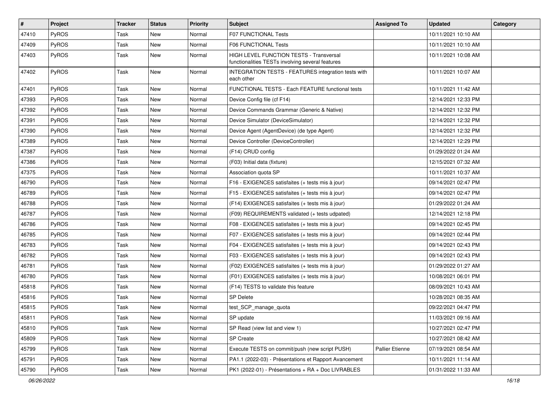| $\vert$ # | Project      | <b>Tracker</b> | <b>Status</b> | <b>Priority</b> | <b>Subject</b>                                                                              | <b>Assigned To</b> | <b>Updated</b>      | Category |
|-----------|--------------|----------------|---------------|-----------------|---------------------------------------------------------------------------------------------|--------------------|---------------------|----------|
| 47410     | PyROS        | Task           | New           | Normal          | F07 FUNCTIONAL Tests                                                                        |                    | 10/11/2021 10:10 AM |          |
| 47409     | PyROS        | Task           | New           | Normal          | F06 FUNCTIONAL Tests                                                                        |                    | 10/11/2021 10:10 AM |          |
| 47403     | PyROS        | Task           | New           | Normal          | HIGH LEVEL FUNCTION TESTS - Transversal<br>functionalities TESTs involving several features |                    | 10/11/2021 10:08 AM |          |
| 47402     | <b>PyROS</b> | Task           | <b>New</b>    | Normal          | INTEGRATION TESTS - FEATURES integration tests with<br>each other                           |                    | 10/11/2021 10:07 AM |          |
| 47401     | PyROS        | Task           | <b>New</b>    | Normal          | FUNCTIONAL TESTS - Each FEATURE functional tests                                            |                    | 10/11/2021 11:42 AM |          |
| 47393     | PyROS        | Task           | New           | Normal          | Device Config file (cf F14)                                                                 |                    | 12/14/2021 12:33 PM |          |
| 47392     | PyROS        | Task           | <b>New</b>    | Normal          | Device Commands Grammar (Generic & Native)                                                  |                    | 12/14/2021 12:32 PM |          |
| 47391     | PyROS        | Task           | <b>New</b>    | Normal          | Device Simulator (DeviceSimulator)                                                          |                    | 12/14/2021 12:32 PM |          |
| 47390     | PyROS        | Task           | <b>New</b>    | Normal          | Device Agent (AgentDevice) (de type Agent)                                                  |                    | 12/14/2021 12:32 PM |          |
| 47389     | PyROS        | Task           | New           | Normal          | Device Controller (DeviceController)                                                        |                    | 12/14/2021 12:29 PM |          |
| 47387     | PyROS        | Task           | New           | Normal          | (F14) CRUD config                                                                           |                    | 01/29/2022 01:24 AM |          |
| 47386     | PyROS        | Task           | <b>New</b>    | Normal          | (F03) Initial data (fixture)                                                                |                    | 12/15/2021 07:32 AM |          |
| 47375     | PyROS        | Task           | <b>New</b>    | Normal          | Association quota SP                                                                        |                    | 10/11/2021 10:37 AM |          |
| 46790     | PyROS        | Task           | <b>New</b>    | Normal          | F16 - EXIGENCES satisfaites (+ tests mis à jour)                                            |                    | 09/14/2021 02:47 PM |          |
| 46789     | PyROS        | Task           | <b>New</b>    | Normal          | F15 - EXIGENCES satisfaites (+ tests mis à jour)                                            |                    | 09/14/2021 02:47 PM |          |
| 46788     | PyROS        | Task           | <b>New</b>    | Normal          | (F14) EXIGENCES satisfaites (+ tests mis à jour)                                            |                    | 01/29/2022 01:24 AM |          |
| 46787     | PyROS        | Task           | New           | Normal          | (F09) REQUIREMENTS validated (+ tests udpated)                                              |                    | 12/14/2021 12:18 PM |          |
| 46786     | PyROS        | Task           | <b>New</b>    | Normal          | F08 - EXIGENCES satisfaites (+ tests mis à jour)                                            |                    | 09/14/2021 02:45 PM |          |
| 46785     | PyROS        | Task           | New           | Normal          | F07 - EXIGENCES satisfaites (+ tests mis à jour)                                            |                    | 09/14/2021 02:44 PM |          |
| 46783     | PyROS        | Task           | New           | Normal          | F04 - EXIGENCES satisfaites (+ tests mis à jour)                                            |                    | 09/14/2021 02:43 PM |          |
| 46782     | PyROS        | Task           | <b>New</b>    | Normal          | F03 - EXIGENCES satisfaites (+ tests mis à jour)                                            |                    | 09/14/2021 02:43 PM |          |
| 46781     | PyROS        | Task           | New           | Normal          | (F02) EXIGENCES satisfaites (+ tests mis à jour)                                            |                    | 01/29/2022 01:27 AM |          |
| 46780     | PyROS        | Task           | New           | Normal          | (F01) EXIGENCES satisfaites (+ tests mis à jour)                                            |                    | 10/08/2021 06:01 PM |          |
| 45818     | PyROS        | Task           | New           | Normal          | (F14) TESTS to validate this feature                                                        |                    | 08/09/2021 10:43 AM |          |
| 45816     | PyROS        | Task           | New           | Normal          | <b>SP Delete</b>                                                                            |                    | 10/28/2021 08:35 AM |          |
| 45815     | PyROS        | Task           | <b>New</b>    | Normal          | test_SCP_manage_quota                                                                       |                    | 09/22/2021 04:47 PM |          |
| 45811     | <b>PyROS</b> | Task           | New           | Normal          | SP update                                                                                   |                    | 11/03/2021 09:16 AM |          |
| 45810     | PyROS        | Task           | New           | Normal          | SP Read (view list and view 1)                                                              |                    | 10/27/2021 02:47 PM |          |
| 45809     | PyROS        | Task           | New           | Normal          | <b>SP Create</b>                                                                            |                    | 10/27/2021 08:42 AM |          |
| 45799     | PyROS        | Task           | New           | Normal          | Execute TESTS on commit/push (new script PUSH)                                              | Pallier Etienne    | 07/19/2021 08:54 AM |          |
| 45791     | PyROS        | Task           | New           | Normal          | PA1.1 (2022-03) - Présentations et Rapport Avancement                                       |                    | 10/11/2021 11:14 AM |          |
| 45790     | PyROS        | Task           | New           | Normal          | PK1 (2022-01) - Présentations + RA + Doc LIVRABLES                                          |                    | 01/31/2022 11:33 AM |          |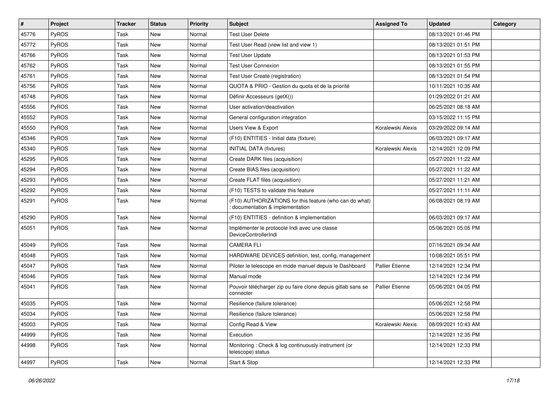| $\vert$ # | Project      | <b>Tracker</b> | <b>Status</b> | <b>Priority</b> | <b>Subject</b>                                                                            | <b>Assigned To</b>     | <b>Updated</b>      | Category |
|-----------|--------------|----------------|---------------|-----------------|-------------------------------------------------------------------------------------------|------------------------|---------------------|----------|
| 45776     | PyROS        | Task           | New           | Normal          | <b>Test User Delete</b>                                                                   |                        | 08/13/2021 01:46 PM |          |
| 45772     | PyROS        | Task           | New           | Normal          | Test User Read (view list and view 1)                                                     |                        | 08/13/2021 01:51 PM |          |
| 45766     | PyROS        | Task           | New           | Normal          | <b>Test User Update</b>                                                                   |                        | 08/13/2021 01:53 PM |          |
| 45762     | PyROS        | Task           | New           | Normal          | <b>Test User Connexion</b>                                                                |                        | 08/13/2021 01:55 PM |          |
| 45761     | PyROS        | Task           | New           | Normal          | Test User Create (registration)                                                           |                        | 08/13/2021 01:54 PM |          |
| 45756     | <b>PyROS</b> | Task           | New           | Normal          | QUOTA & PRIO - Gestion du quota et de la priorité                                         |                        | 10/11/2021 10:35 AM |          |
| 45748     | PyROS        | Task           | New           | Normal          | Définir Accesseurs (getX())                                                               |                        | 01/29/2022 01:21 AM |          |
| 45556     | PyROS        | Task           | New           | Normal          | User activation/deactivation                                                              |                        | 06/25/2021 08:18 AM |          |
| 45552     | PyROS        | Task           | New           | Normal          | General configuration integration                                                         |                        | 03/15/2022 11:15 PM |          |
| 45550     | PyROS        | Task           | <b>New</b>    | Normal          | Users View & Export                                                                       | Koralewski Alexis      | 03/29/2022 09:14 AM |          |
| 45346     | PyROS        | Task           | New           | Normal          | (F10) ENTITIES - Initial data (fixture)                                                   |                        | 06/03/2021 09:17 AM |          |
| 45340     | PyROS        | Task           | New           | Normal          | <b>INITIAL DATA (fixtures)</b>                                                            | Koralewski Alexis      | 12/14/2021 12:09 PM |          |
| 45295     | PyROS        | Task           | New           | Normal          | Create DARK files (acquisition)                                                           |                        | 05/27/2021 11:22 AM |          |
| 45294     | PyROS        | Task           | New           | Normal          | Create BIAS files (acquisition)                                                           |                        | 05/27/2021 11:22 AM |          |
| 45293     | PyROS        | Task           | <b>New</b>    | Normal          | Create FLAT files (acquisition)                                                           |                        | 05/27/2021 11:21 AM |          |
| 45292     | PyROS        | Task           | New           | Normal          | (F10) TESTS to validate this feature                                                      |                        | 05/27/2021 11:11 AM |          |
| 45291     | PyROS        | Task           | New           | Normal          | (F10) AUTHORIZATIONS for this feature (who can do what)<br>documentation & implementation |                        | 06/08/2021 08:19 AM |          |
| 45290     | <b>PyROS</b> | Task           | New           | Normal          | (F10) ENTITIES - definition & implementation                                              |                        | 06/03/2021 09:17 AM |          |
| 45051     | PyROS        | Task           | New           | Normal          | Implémenter le protocole Indi avec une classe<br>DeviceControllerIndi                     |                        | 05/06/2021 05:05 PM |          |
| 45049     | PyROS        | Task           | New           | Normal          | CAMERA FLI                                                                                |                        | 07/16/2021 09:34 AM |          |
| 45048     | PyROS        | Task           | New           | Normal          | HARDWARE DEVICES definition, test, config, management                                     |                        | 10/08/2021 05:51 PM |          |
| 45047     | PyROS        | Task           | New           | Normal          | Piloter le telescope en mode manuel depuis le Dashboard                                   | <b>Pallier Etienne</b> | 12/14/2021 12:34 PM |          |
| 45046     | PyROS        | Task           | New           | Normal          | Manual mode                                                                               |                        | 12/14/2021 12:34 PM |          |
| 45041     | PyROS        | Task           | New           | Normal          | Pouvoir télécharger zip ou faire clone depuis gitlab sans se<br>connecter                 | <b>Pallier Etienne</b> | 05/06/2021 04:05 PM |          |
| 45035     | PyROS        | Task           | New           | Normal          | Resilience (failure tolerance)                                                            |                        | 05/06/2021 12:58 PM |          |
| 45034     | PyROS        | Task           | New           | Normal          | Resilience (failure tolerance)                                                            |                        | 05/06/2021 12:58 PM |          |
| 45003     | PyROS        | Task           | New           | Normal          | Config Read & View                                                                        | Koralewski Alexis      | 08/09/2021 10:43 AM |          |
| 44999     | PyROS        | Task           | New           | Normal          | Execution                                                                                 |                        | 12/14/2021 12:35 PM |          |
| 44998     | PyROS        | Task           | New           | Normal          | Monitoring: Check & log continuously instrument (or<br>telescope) status                  |                        | 12/14/2021 12:33 PM |          |
| 44997     | PyROS        | Task           | New           | Normal          | Start & Stop                                                                              |                        | 12/14/2021 12:33 PM |          |